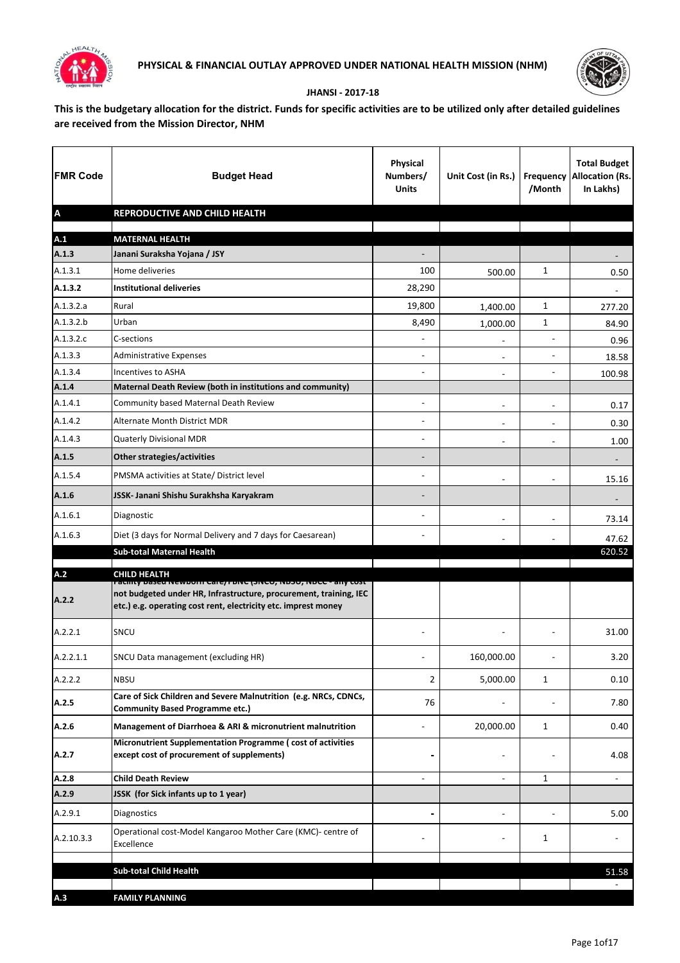



## **JHANSI - 2017-18**

**This is the budgetary allocation for the district. Funds for specific activities are to be utilized only after detailed guidelines are received from the Mission Director, NHM**

| <b>FMR Code</b>           | <b>Budget Head</b>                                                                                                                                                                                     | <b>Physical</b><br>Numbers/<br><b>Units</b> | Unit Cost (in Rs.)       | /Month                   | <b>Total Budget</b><br><b>Frequency Allocation (Rs.</b><br>In Lakhs) |
|---------------------------|--------------------------------------------------------------------------------------------------------------------------------------------------------------------------------------------------------|---------------------------------------------|--------------------------|--------------------------|----------------------------------------------------------------------|
| $\boldsymbol{\mathsf{A}}$ | REPRODUCTIVE AND CHILD HEALTH                                                                                                                                                                          |                                             |                          |                          |                                                                      |
| A.1                       | <b>MATERNAL HEALTH</b>                                                                                                                                                                                 |                                             |                          |                          |                                                                      |
| A.1.3                     | Janani Suraksha Yojana / JSY                                                                                                                                                                           |                                             |                          |                          |                                                                      |
| A.1.3.1                   | Home deliveries                                                                                                                                                                                        | 100                                         | 500.00                   | 1                        | 0.50                                                                 |
| A.1.3.2                   | <b>Institutional deliveries</b>                                                                                                                                                                        | 28,290                                      |                          |                          |                                                                      |
| A.1.3.2.a                 | Rural                                                                                                                                                                                                  | 19,800                                      | 1,400.00                 | 1                        | 277.20                                                               |
| A.1.3.2.b                 | Urban                                                                                                                                                                                                  | 8,490                                       | 1,000.00                 | $\mathbf{1}$             | 84.90                                                                |
| A.1.3.2.c                 | C-sections                                                                                                                                                                                             |                                             | $\blacksquare$           |                          | 0.96                                                                 |
| A.1.3.3                   | <b>Administrative Expenses</b>                                                                                                                                                                         |                                             | $\blacksquare$           | $\blacksquare$           | 18.58                                                                |
| A.1.3.4                   | Incentives to ASHA                                                                                                                                                                                     |                                             | $\blacksquare$           | $\blacksquare$           | 100.98                                                               |
| A.1.4                     | Maternal Death Review (both in institutions and community)                                                                                                                                             |                                             |                          |                          |                                                                      |
| A.1.4.1                   | Community based Maternal Death Review                                                                                                                                                                  | $\overline{\phantom{a}}$                    | $\overline{\phantom{a}}$ | $\blacksquare$           | 0.17                                                                 |
| A.1.4.2                   | Alternate Month District MDR                                                                                                                                                                           | ۰                                           | $\blacksquare$           | $\overline{a}$           | 0.30                                                                 |
| A.1.4.3                   | Quaterly Divisional MDR                                                                                                                                                                                |                                             | $\blacksquare$           | $\blacksquare$           | 1.00                                                                 |
| A.1.5                     | <b>Other strategies/activities</b>                                                                                                                                                                     |                                             |                          |                          |                                                                      |
| A.1.5.4                   | PMSMA activities at State/ District level                                                                                                                                                              | ۰                                           | $\blacksquare$           | ÷,                       | 15.16                                                                |
| A.1.6                     | JSSK- Janani Shishu Surakhsha Karyakram                                                                                                                                                                |                                             |                          |                          |                                                                      |
| A.1.6.1                   | Diagnostic                                                                                                                                                                                             | -                                           | $\blacksquare$           | $\overline{a}$           | 73.14                                                                |
| A.1.6.3                   | Diet (3 days for Normal Delivery and 7 days for Caesarean)                                                                                                                                             |                                             |                          |                          | 47.62                                                                |
|                           | <b>Sub-total Maternal Health</b>                                                                                                                                                                       |                                             |                          |                          | 620.52                                                               |
| A.2                       | <b>CHILD HEALTH</b>                                                                                                                                                                                    |                                             |                          |                          |                                                                      |
| A.2.2                     | רמכווונץ Daseu IvewDOTII Care/ רטויכ (איכט, דווסטט, ויטכע - ari<br>not budgeted under HR, Infrastructure, procurement, training, IEC<br>etc.) e.g. operating cost rent, electricity etc. imprest money |                                             |                          |                          |                                                                      |
| A.2.2.1                   | SNCU                                                                                                                                                                                                   |                                             |                          |                          | 31.00                                                                |
| A.2.2.1.1                 | SNCU Data management (excluding HR)                                                                                                                                                                    |                                             | 160,000.00               |                          | 3.20                                                                 |
| A.2.2.2                   | <b>NBSU</b>                                                                                                                                                                                            | $\overline{2}$                              | 5,000.00                 | 1                        | 0.10                                                                 |
| A.2.5                     | Care of Sick Children and Severe Malnutrition (e.g. NRCs, CDNCs,<br><b>Community Based Programme etc.)</b>                                                                                             | 76                                          |                          |                          | 7.80                                                                 |
| A.2.6                     | Management of Diarrhoea & ARI & micronutrient malnutrition                                                                                                                                             |                                             | 20,000.00                | 1                        | 0.40                                                                 |
| A.2.7                     | Micronutrient Supplementation Programme (cost of activities<br>except cost of procurement of supplements)                                                                                              |                                             | $\blacksquare$           |                          | 4.08                                                                 |
| A.2.8                     | <b>Child Death Review</b>                                                                                                                                                                              | ÷                                           | $\blacksquare$           | 1                        | $\blacksquare$                                                       |
| A.2.9                     | JSSK (for Sick infants up to 1 year)                                                                                                                                                                   |                                             |                          |                          |                                                                      |
| A.2.9.1                   | Diagnostics                                                                                                                                                                                            |                                             |                          | $\overline{\phantom{a}}$ | 5.00                                                                 |
| A.2.10.3.3                | Operational cost-Model Kangaroo Mother Care (KMC)- centre of<br>Excellence                                                                                                                             |                                             |                          | 1                        |                                                                      |
|                           | <b>Sub-total Child Health</b>                                                                                                                                                                          |                                             |                          |                          |                                                                      |
|                           |                                                                                                                                                                                                        |                                             |                          |                          | 51.58                                                                |
| A.3                       | <b>FAMILY PLANNING</b>                                                                                                                                                                                 |                                             |                          |                          |                                                                      |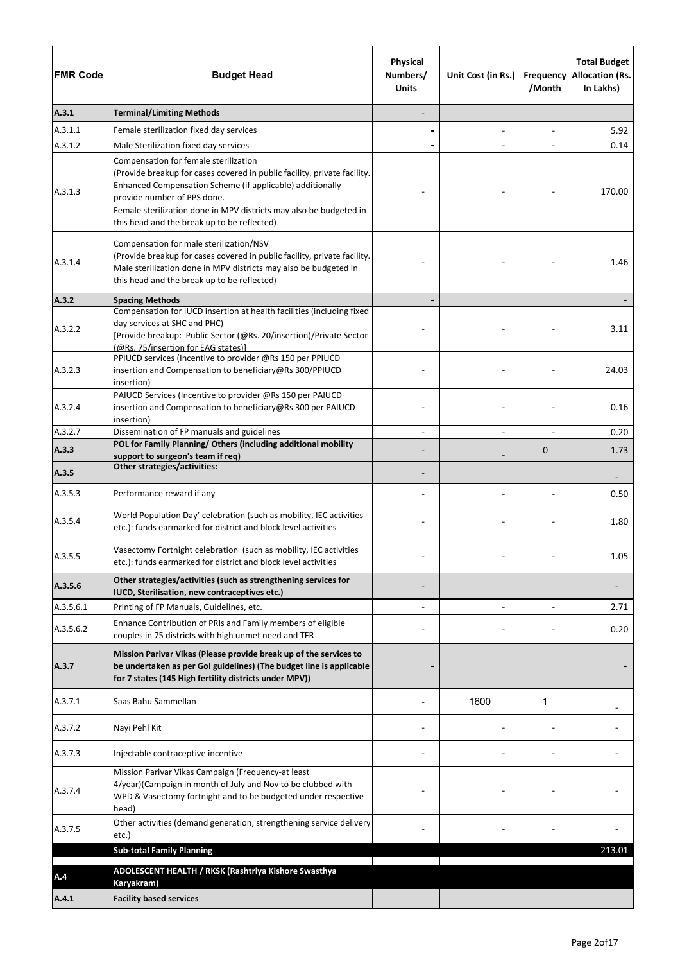| <b>FMR Code</b> | <b>Budget Head</b>                                                                                                                                                                                                                                                                                                                 | Physical<br>Numbers/<br><b>Units</b> | Unit Cost (in Rs.) | <b>Frequency</b><br>/Month | <b>Total Budget</b><br><b>Allocation (Rs.</b><br>In Lakhs) |
|-----------------|------------------------------------------------------------------------------------------------------------------------------------------------------------------------------------------------------------------------------------------------------------------------------------------------------------------------------------|--------------------------------------|--------------------|----------------------------|------------------------------------------------------------|
| A.3.1           | <b>Terminal/Limiting Methods</b>                                                                                                                                                                                                                                                                                                   |                                      |                    |                            |                                                            |
| A.3.1.1         | Female sterilization fixed day services                                                                                                                                                                                                                                                                                            |                                      | $\blacksquare$     |                            | 5.92                                                       |
| A.3.1.2         | Male Sterilization fixed day services                                                                                                                                                                                                                                                                                              |                                      |                    |                            | 0.14                                                       |
| A.3.1.3         | Compensation for female sterilization<br>(Provide breakup for cases covered in public facility, private facility.<br>Enhanced Compensation Scheme (if applicable) additionally<br>provide number of PPS done.<br>Female sterilization done in MPV districts may also be budgeted in<br>this head and the break up to be reflected) |                                      |                    |                            | 170.00                                                     |
| A.3.1.4         | Compensation for male sterilization/NSV<br>(Provide breakup for cases covered in public facility, private facility.<br>Male sterilization done in MPV districts may also be budgeted in<br>this head and the break up to be reflected)                                                                                             |                                      |                    |                            | 1.46                                                       |
| A.3.2           | <b>Spacing Methods</b>                                                                                                                                                                                                                                                                                                             |                                      |                    |                            |                                                            |
| A.3.2.2         | Compensation for IUCD insertion at health facilities (including fixed<br>day services at SHC and PHC)<br>[Provide breakup: Public Sector (@Rs. 20/insertion)/Private Sector<br>(@Rs. 75/insertion for EAG states)]                                                                                                                 |                                      |                    |                            | 3.11                                                       |
| A.3.2.3         | PPIUCD services (Incentive to provider @Rs 150 per PPIUCD<br>insertion and Compensation to beneficiary@Rs 300/PPIUCD<br>insertion)                                                                                                                                                                                                 |                                      |                    |                            | 24.03                                                      |
| A.3.2.4         | PAIUCD Services (Incentive to provider @Rs 150 per PAIUCD<br>insertion and Compensation to beneficiary@Rs 300 per PAIUCD<br>insertion)                                                                                                                                                                                             |                                      |                    |                            | 0.16                                                       |
| A.3.2.7         | Dissemination of FP manuals and guidelines                                                                                                                                                                                                                                                                                         |                                      | $\overline{a}$     |                            | 0.20                                                       |
| A.3.3           | POL for Family Planning/ Others (including additional mobility<br>support to surgeon's team if req)                                                                                                                                                                                                                                |                                      |                    | $\mathbf 0$                | 1.73                                                       |
| A.3.5           | <b>Other strategies/activities:</b>                                                                                                                                                                                                                                                                                                |                                      |                    |                            |                                                            |
| A.3.5.3         | Performance reward if any                                                                                                                                                                                                                                                                                                          |                                      |                    |                            | 0.50                                                       |
| A.3.5.4         | World Population Day' celebration (such as mobility, IEC activities<br>etc.): funds earmarked for district and block level activities                                                                                                                                                                                              |                                      |                    |                            | 1.80                                                       |
| A.3.5.5         | Vasectomy Fortnight celebration (such as mobility, IEC activities<br>etc.): funds earmarked for district and block level activities                                                                                                                                                                                                |                                      |                    |                            | 1.05                                                       |
| A.3.5.6         | Other strategies/activities (such as strengthening services for<br>IUCD, Sterilisation, new contraceptives etc.)                                                                                                                                                                                                                   |                                      |                    |                            |                                                            |
| A.3.5.6.1       | Printing of FP Manuals, Guidelines, etc.                                                                                                                                                                                                                                                                                           |                                      |                    |                            | 2.71                                                       |
| A.3.5.6.2       | Enhance Contribution of PRIs and Family members of eligible<br>couples in 75 districts with high unmet need and TFR                                                                                                                                                                                                                |                                      |                    |                            | 0.20                                                       |
| A.3.7           | Mission Parivar Vikas (Please provide break up of the services to<br>be undertaken as per GoI guidelines) (The budget line is applicable<br>for 7 states (145 High fertility districts under MPV))                                                                                                                                 |                                      |                    |                            |                                                            |
| A.3.7.1         | Saas Bahu Sammellan                                                                                                                                                                                                                                                                                                                |                                      | 1600               | 1                          |                                                            |
| A.3.7.2         | Nayi Pehl Kit                                                                                                                                                                                                                                                                                                                      |                                      |                    |                            |                                                            |
| A.3.7.3         | Injectable contraceptive incentive                                                                                                                                                                                                                                                                                                 |                                      |                    |                            |                                                            |
| A.3.7.4         | Mission Parivar Vikas Campaign (Frequency-at least<br>4/year)(Campaign in month of July and Nov to be clubbed with<br>WPD & Vasectomy fortnight and to be budgeted under respective<br>head)                                                                                                                                       |                                      |                    |                            |                                                            |
| A.3.7.5         | Other activities (demand generation, strengthening service delivery<br>etc.)                                                                                                                                                                                                                                                       |                                      |                    |                            |                                                            |
|                 | <b>Sub-total Family Planning</b>                                                                                                                                                                                                                                                                                                   |                                      |                    |                            | 213.01                                                     |
| A.4             | ADOLESCENT HEALTH / RKSK (Rashtriya Kishore Swasthya<br>Karyakram)                                                                                                                                                                                                                                                                 |                                      |                    |                            |                                                            |
| A.4.1           | <b>Facility based services</b>                                                                                                                                                                                                                                                                                                     |                                      |                    |                            |                                                            |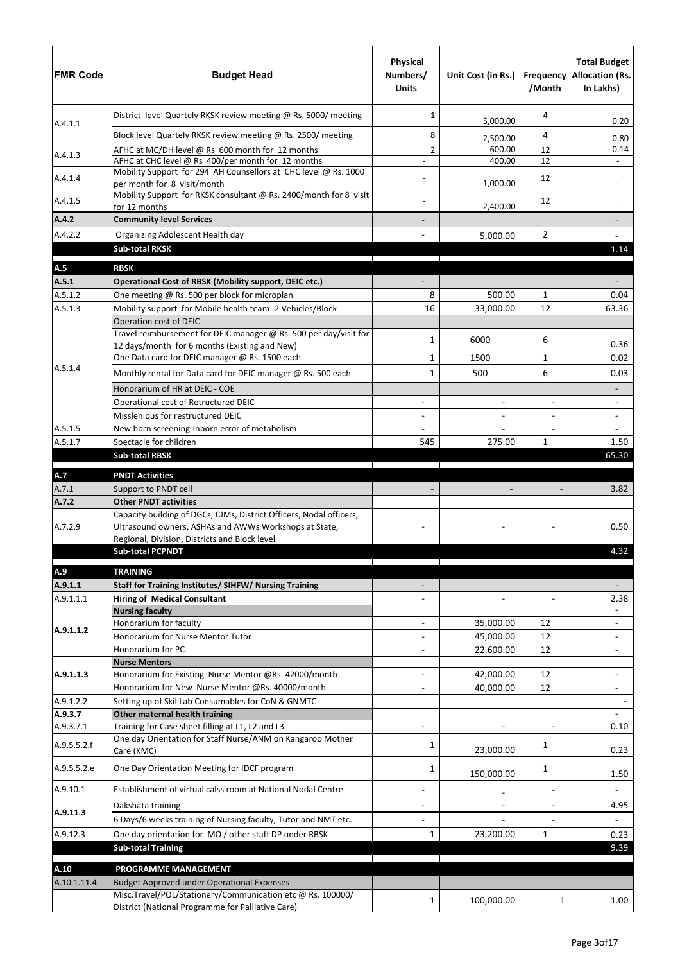| <b>FMR Code</b>    | <b>Budget Head</b>                                                                                                | Physical<br>Numbers/<br><b>Units</b> | Unit Cost (in Rs.)     | /Month         | <b>Total Budget</b><br><b>Frequency Allocation (Rs.</b><br>In Lakhs) |
|--------------------|-------------------------------------------------------------------------------------------------------------------|--------------------------------------|------------------------|----------------|----------------------------------------------------------------------|
|                    | District level Quartely RKSK review meeting @ Rs. 5000/ meeting                                                   | 1                                    | 5,000.00               | 4              | 0.20                                                                 |
| A.4.1.1            | Block level Quartely RKSK review meeting @ Rs. 2500/ meeting                                                      | 8                                    | 2,500.00               | 4              | 0.80                                                                 |
|                    | AFHC at MC/DH level @ Rs 600 month for 12 months                                                                  | $\overline{2}$                       | 600.00                 | 12             | 0.14                                                                 |
| A.4.1.3            | AFHC at CHC level @ Rs 400/per month for 12 months                                                                |                                      | 400.00                 | 12             |                                                                      |
| A.4.1.4            | Mobility Support for 294 AH Counsellors at CHC level @ Rs. 1000                                                   |                                      |                        | 12             |                                                                      |
| A.4.1.5            | per month for 8 visit/month<br>Mobility Support for RKSK consultant @ Rs. 2400/month for 8 visit<br>for 12 months |                                      | 1,000.00<br>2,400.00   | 12             |                                                                      |
| A.4.2              | <b>Community level Services</b>                                                                                   |                                      |                        |                |                                                                      |
| A.4.2.2            | Organizing Adolescent Health day                                                                                  |                                      | 5,000.00               | $\overline{2}$ |                                                                      |
|                    | <b>Sub-total RKSK</b>                                                                                             |                                      |                        |                | 1.14                                                                 |
| A.5                | <b>RBSK</b>                                                                                                       |                                      |                        |                |                                                                      |
| A.5.1              | Operational Cost of RBSK (Mobility support, DEIC etc.)                                                            |                                      |                        |                |                                                                      |
| A.5.1.2            | One meeting @ Rs. 500 per block for microplan                                                                     | 8                                    | 500.00                 | $\mathbf{1}$   | 0.04                                                                 |
| A.5.1.3            | Mobility support for Mobile health team- 2 Vehicles/Block                                                         | 16                                   | 33,000.00              | 12             | 63.36                                                                |
|                    | Operation cost of DEIC                                                                                            |                                      |                        |                |                                                                      |
|                    | Travel reimbursement for DEIC manager @ Rs. 500 per day/visit for                                                 | 1                                    | 6000                   | 6              |                                                                      |
|                    | 12 days/month for 6 months (Existing and New)                                                                     |                                      |                        |                | 0.36                                                                 |
| A.5.1.4            | One Data card for DEIC manager @ Rs. 1500 each                                                                    | 1                                    | 1500                   | $\mathbf{1}$   | 0.02                                                                 |
|                    | Monthly rental for Data card for DEIC manager @ Rs. 500 each                                                      | 1                                    | 500                    | 6              | 0.03                                                                 |
|                    | Honorarium of HR at DEIC - COE                                                                                    |                                      |                        |                |                                                                      |
|                    | Operational cost of Retructured DEIC                                                                              |                                      |                        | $\blacksquare$ |                                                                      |
|                    | Misslenious for restructured DEIC                                                                                 |                                      |                        |                | $\blacksquare$                                                       |
| A.5.1.5<br>A.5.1.7 | New born screening-Inborn error of metabolism<br>Spectacle for children                                           | 545                                  | 275.00                 | $\mathbf{1}$   | 1.50                                                                 |
|                    | <b>Sub-total RBSK</b>                                                                                             |                                      |                        |                | 65.30                                                                |
|                    |                                                                                                                   |                                      |                        |                |                                                                      |
| A.7                | <b>PNDT Activities</b>                                                                                            |                                      |                        |                |                                                                      |
| A.7.1              | Support to PNDT cell                                                                                              |                                      |                        |                | 3.82                                                                 |
| A.7.2              | <b>Other PNDT activities</b><br>Capacity building of DGCs, CJMs, District Officers, Nodal officers,               |                                      |                        |                |                                                                      |
| A.7.2.9            | Ultrasound owners, ASHAs and AWWs Workshops at State,                                                             |                                      |                        |                | 0.50                                                                 |
|                    | Regional, Division, Districts and Block level<br><b>Sub-total PCPNDT</b>                                          |                                      |                        |                | 4.32                                                                 |
| A.9                | <b>TRAINING</b>                                                                                                   |                                      |                        |                |                                                                      |
| A.9.1.1            | <b>Staff for Training Institutes/ SIHFW/ Nursing Training</b>                                                     |                                      |                        |                |                                                                      |
| A.9.1.1.1          | <b>Hiring of Medical Consultant</b>                                                                               |                                      | $\blacksquare$         | $\overline{a}$ | 2.38                                                                 |
|                    | <b>Nursing faculty</b>                                                                                            |                                      |                        |                |                                                                      |
|                    | Honorarium for faculty                                                                                            |                                      | 35,000.00              | 12             |                                                                      |
| A.9.1.1.2          | Honorarium for Nurse Mentor Tutor                                                                                 |                                      | 45,000.00              | 12             | $\overline{\phantom{a}}$                                             |
|                    | Honorarium for PC                                                                                                 |                                      | 22,600.00              | 12             |                                                                      |
|                    | <b>Nurse Mentors</b>                                                                                              |                                      |                        |                |                                                                      |
| A.9.1.1.3          | Honorarium for Existing Nurse Mentor @Rs. 42000/month<br>Honorarium for New Nurse Mentor @Rs. 40000/month         |                                      | 42,000.00<br>40,000.00 | 12<br>12       |                                                                      |
| A.9.1.2.2          | Setting up of Skil Lab Consumables for CoN & GNMTC                                                                |                                      |                        |                |                                                                      |
| A.9.3.7            | Other maternal health training                                                                                    |                                      |                        |                |                                                                      |
| A.9.3.7.1          | Training for Case sheet filling at L1, L2 and L3                                                                  |                                      |                        | $\omega$       | 0.10                                                                 |
| A.9.5.5.2.f        | One day Orientation for Staff Nurse/ANM on Kangaroo Mother<br>Care (KMC)                                          | 1                                    | 23,000.00              | 1              | 0.23                                                                 |
| A.9.5.5.2.e        | One Day Orientation Meeting for IDCF program                                                                      | 1                                    | 150,000.00             | 1              | 1.50                                                                 |
| A.9.10.1           | Establishment of virtual calss room at National Nodal Centre                                                      |                                      |                        | $\blacksquare$ |                                                                      |
|                    | Dakshata training                                                                                                 |                                      | $\blacksquare$         | $\blacksquare$ | 4.95                                                                 |
| A.9.11.3           | 6 Days/6 weeks training of Nursing faculty, Tutor and NMT etc.                                                    |                                      |                        |                |                                                                      |
| A.9.12.3           | One day orientation for MO / other staff DP under RBSK                                                            | 1                                    | 23,200.00              | $\mathbf{1}$   | 0.23                                                                 |
|                    | <b>Sub-total Training</b>                                                                                         |                                      |                        |                | 9.39                                                                 |
|                    |                                                                                                                   |                                      |                        |                |                                                                      |
| A.10               | PROGRAMME MANAGEMENT                                                                                              |                                      |                        |                |                                                                      |
| A.10.1.11.4        | Budget Approved under Operational Expenses<br>Misc.Travel/POL/Stationery/Communication etc @ Rs. 100000/          |                                      |                        |                |                                                                      |
|                    | District (National Programme for Palliative Care)                                                                 | 1                                    | 100,000.00             | 1              | 1.00                                                                 |
|                    |                                                                                                                   |                                      |                        |                |                                                                      |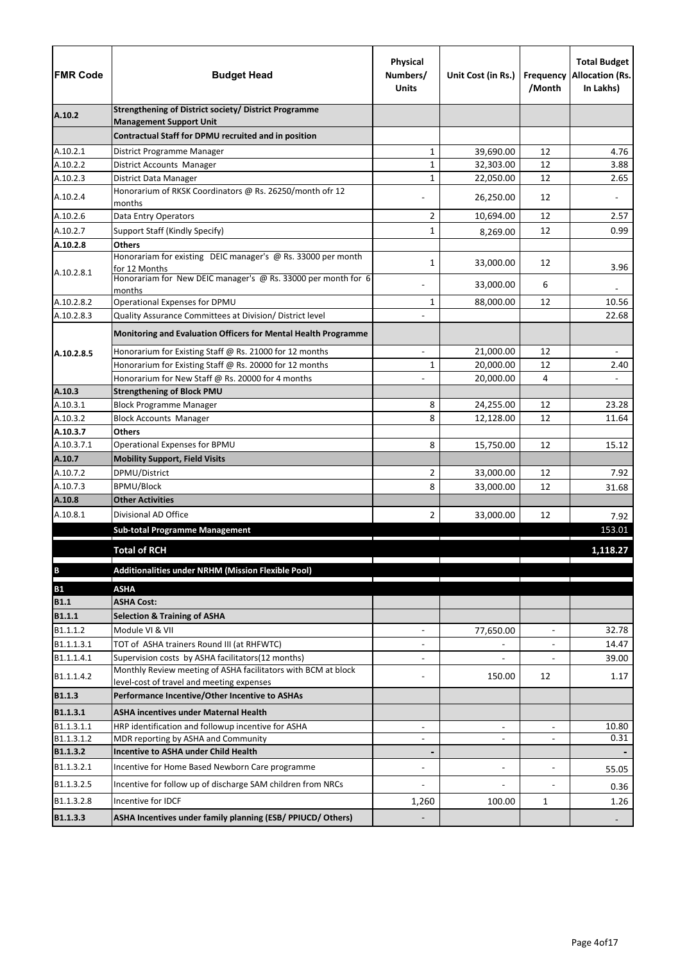| <b>FMR Code</b>      | <b>Budget Head</b>                                                                                         | Physical<br>Numbers/<br><b>Units</b> | Unit Cost (in Rs.)       | Frequency<br>/Month | <b>Total Budget</b><br><b>Allocation (Rs.</b><br>In Lakhs) |
|----------------------|------------------------------------------------------------------------------------------------------------|--------------------------------------|--------------------------|---------------------|------------------------------------------------------------|
| A.10.2               | <b>Strengthening of District society/ District Programme</b>                                               |                                      |                          |                     |                                                            |
|                      | <b>Management Support Unit</b><br>Contractual Staff for DPMU recruited and in position                     |                                      |                          |                     |                                                            |
| A.10.2.1             |                                                                                                            |                                      | 39,690.00                | 12                  | 4.76                                                       |
| A.10.2.2             | District Programme Manager<br>District Accounts Manager                                                    | 1<br>1                               | 32,303.00                | 12                  | 3.88                                                       |
| A.10.2.3             | District Data Manager                                                                                      | 1                                    | 22,050.00                | 12                  | 2.65                                                       |
|                      | Honorarium of RKSK Coordinators @ Rs. 26250/month ofr 12                                                   |                                      |                          |                     |                                                            |
| A.10.2.4             | months                                                                                                     |                                      | 26,250.00                | 12                  |                                                            |
| A.10.2.6             | Data Entry Operators                                                                                       | 2                                    | 10,694.00                | 12                  | 2.57                                                       |
| A.10.2.7             | Support Staff (Kindly Specify)                                                                             | $\mathbf{1}$                         | 8,269.00                 | 12                  | 0.99                                                       |
| A.10.2.8             | <b>Others</b>                                                                                              |                                      |                          |                     |                                                            |
| A.10.2.8.1           | Honorariam for existing DEIC manager's @ Rs. 33000 per month<br>for 12 Months                              | 1                                    | 33,000.00                | 12                  | 3.96                                                       |
|                      | Honorariam for New DEIC manager's @ Rs. 33000 per month for 6<br>months                                    |                                      | 33,000.00                | 6                   |                                                            |
| A.10.2.8.2           | Operational Expenses for DPMU                                                                              | $\mathbf{1}$                         | 88,000.00                | 12                  | 10.56                                                      |
| A.10.2.8.3           | Quality Assurance Committees at Division/ District level                                                   |                                      |                          |                     | 22.68                                                      |
|                      | Monitoring and Evaluation Officers for Mental Health Programme                                             |                                      |                          |                     |                                                            |
| A.10.2.8.5           | Honorarium for Existing Staff @ Rs. 21000 for 12 months                                                    |                                      | 21,000.00                | 12                  |                                                            |
|                      | Honorarium for Existing Staff @ Rs. 20000 for 12 months                                                    | 1                                    | 20,000.00                | 12                  | 2.40                                                       |
|                      | Honorarium for New Staff @ Rs. 20000 for 4 months                                                          |                                      | 20,000.00                | 4                   | $\blacksquare$                                             |
| A.10.3               | <b>Strengthening of Block PMU</b>                                                                          |                                      |                          |                     |                                                            |
| A.10.3.1             | <b>Block Programme Manager</b>                                                                             | 8                                    | 24,255.00                | 12                  | 23.28                                                      |
| A.10.3.2             | <b>Block Accounts Manager</b>                                                                              | 8                                    | 12,128.00                | 12                  | 11.64                                                      |
| A.10.3.7             | <b>Others</b>                                                                                              |                                      |                          |                     |                                                            |
| A.10.3.7.1           | Operational Expenses for BPMU                                                                              | 8                                    | 15,750.00                | 12                  | 15.12                                                      |
| A.10.7               | <b>Mobility Support, Field Visits</b>                                                                      |                                      |                          |                     |                                                            |
| A.10.7.2<br>A.10.7.3 | DPMU/District<br>BPMU/Block                                                                                | 2<br>8                               | 33,000.00                | 12                  | 7.92                                                       |
| A.10.8               | <b>Other Activities</b>                                                                                    |                                      | 33,000.00                | 12                  | 31.68                                                      |
| A.10.8.1             | Divisional AD Office                                                                                       | 2                                    | 33,000.00                | 12                  |                                                            |
|                      |                                                                                                            |                                      |                          |                     | 7.92                                                       |
|                      | <b>Sub-total Programme Management</b>                                                                      |                                      |                          |                     | 153.01                                                     |
|                      | <b>Total of RCH</b>                                                                                        |                                      |                          |                     | 1,118.27                                                   |
| $\, {\bf B}$         | <b>Additionalities under NRHM (Mission Flexible Pool)</b>                                                  |                                      |                          |                     |                                                            |
| <b>B1</b>            | <b>ASHA</b>                                                                                                |                                      |                          |                     |                                                            |
| <b>B1.1</b>          | <b>ASHA Cost:</b>                                                                                          |                                      |                          |                     |                                                            |
| <b>B1.1.1</b>        | <b>Selection &amp; Training of ASHA</b>                                                                    |                                      |                          |                     |                                                            |
| B1.1.1.2             | Module VI & VII                                                                                            | $\blacksquare$                       | 77,650.00                | $\blacksquare$      | 32.78                                                      |
| B1.1.1.3.1           | TOT of ASHA trainers Round III (at RHFWTC)                                                                 | $\overline{\phantom{0}}$             |                          | $\blacksquare$      | 14.47                                                      |
| B1.1.1.4.1           | Supervision costs by ASHA facilitators(12 months)                                                          |                                      |                          |                     | 39.00                                                      |
| B1.1.1.4.2           | Monthly Review meeting of ASHA facilitators with BCM at block<br>level-cost of travel and meeting expenses |                                      | 150.00                   | 12                  | 1.17                                                       |
| <b>B1.1.3</b>        | Performance Incentive/Other Incentive to ASHAs                                                             |                                      |                          |                     |                                                            |
| B1.1.3.1             | <b>ASHA incentives under Maternal Health</b>                                                               |                                      |                          |                     |                                                            |
| B1.1.3.1.1           | HRP identification and followup incentive for ASHA                                                         | $\overline{\phantom{a}}$             | $\overline{\phantom{a}}$ | $\blacksquare$      | 10.80                                                      |
| B1.1.3.1.2           | MDR reporting by ASHA and Community                                                                        | ÷                                    | $\overline{\phantom{a}}$ | $\overline{a}$      | 0.31                                                       |
| B1.1.3.2             | <b>Incentive to ASHA under Child Health</b>                                                                |                                      |                          |                     |                                                            |
| B1.1.3.2.1           | Incentive for Home Based Newborn Care programme                                                            |                                      | $\overline{\phantom{a}}$ |                     | 55.05                                                      |
| B1.1.3.2.5           | Incentive for follow up of discharge SAM children from NRCs                                                |                                      |                          |                     | 0.36                                                       |
| B1.1.3.2.8           | Incentive for IDCF                                                                                         | 1,260                                | 100.00                   | 1                   | 1.26                                                       |
| B1.1.3.3             | ASHA Incentives under family planning (ESB/ PPIUCD/ Others)                                                |                                      |                          |                     |                                                            |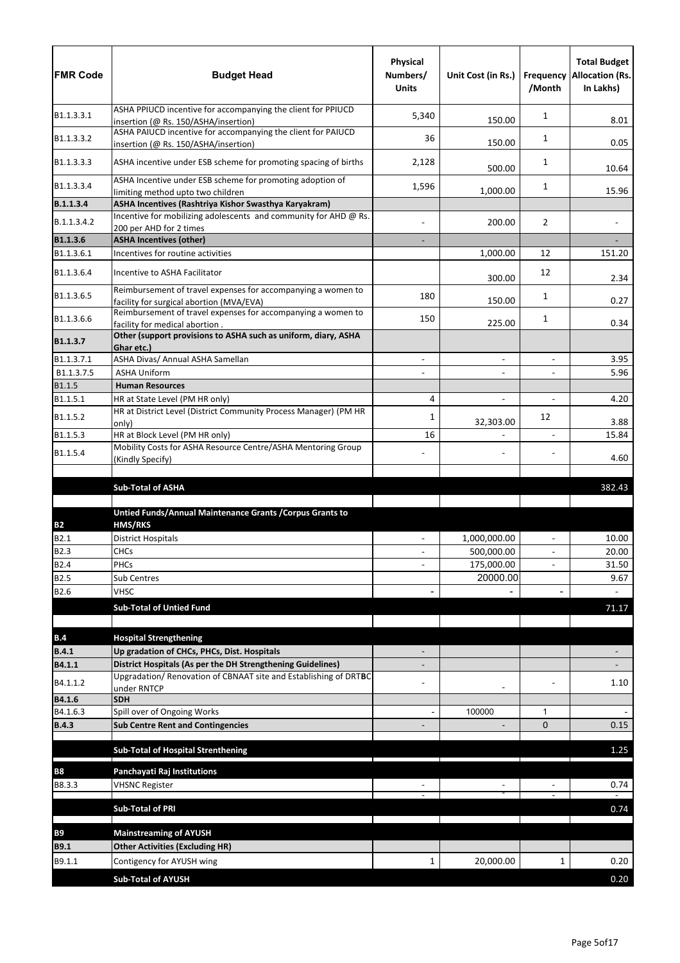| ASHA PPIUCD incentive for accompanying the client for PPIUCD<br>B1.1.3.3.1<br>5,340<br>1<br>8.01<br>150.00<br>insertion (@ Rs. 150/ASHA/insertion)<br>ASHA PAIUCD incentive for accompanying the client for PAIUCD<br>B1.1.3.3.2<br>36<br>1<br>0.05<br>150.00<br>insertion (@ Rs. 150/ASHA/insertion)<br>ASHA incentive under ESB scheme for promoting spacing of births<br>B1.1.3.3.3<br>1<br>2,128<br>500.00<br>10.64<br>ASHA Incentive under ESB scheme for promoting adoption of<br>B1.1.3.3.4<br>1,596<br>1<br>1,000.00<br>15.96<br>limiting method upto two children<br>ASHA Incentives (Rashtriya Kishor Swasthya Karyakram)<br>B.1.1.3.4<br>Incentive for mobilizing adolescents and community for AHD @ Rs.<br>200.00<br>2<br>B.1.1.3.4.2<br>200 per AHD for 2 times<br>B1.1.3.6<br><b>ASHA Incentives (other)</b><br>151.20<br>B1.1.3.6.1<br>Incentives for routine activities<br>1,000.00<br>12<br>B1.1.3.6.4<br>Incentive to ASHA Facilitator<br>12<br>300.00<br>2.34<br>Reimbursement of travel expenses for accompanying a women to<br>B1.1.3.6.5<br>180<br>1<br>150.00<br>0.27<br>facility for surgical abortion (MVA/EVA)<br>Reimbursement of travel expenses for accompanying a women to<br>B1.1.3.6.6<br>150<br>1<br>225.00<br>0.34<br>facility for medical abortion.<br>Other (support provisions to ASHA such as uniform, diary, ASHA<br>Ghar etc.)<br>B1.1.3.7.1<br>ASHA Divas/ Annual ASHA Samellan<br>3.95<br>$\overline{a}$<br>$\blacksquare$<br>B1.1.3.7.5<br><b>ASHA Uniform</b><br>5.96<br>$\blacksquare$<br>$\overline{\phantom{0}}$<br>B1.1.5<br><b>Human Resources</b><br>B1.1.5.1<br>HR at State Level (PM HR only)<br>4<br>4.20<br>$\blacksquare$<br>HR at District Level (District Community Process Manager) (PM HR<br>B1.1.5.2<br>12<br>1<br>32,303.00<br>3.88<br>only)<br>B1.1.5.3<br>16<br>HR at Block Level (PM HR only)<br>15.84<br>$\blacksquare$<br>Mobility Costs for ASHA Resource Centre/ASHA Mentoring Group<br>B1.1.5.4<br>4.60<br>(Kindly Specify)<br><b>Sub-Total of ASHA</b><br>382.43<br>Untied Funds/Annual Maintenance Grants / Corpus Grants to<br><b>HMS/RKS</b><br><b>B2</b><br>1,000,000.00<br>10.00<br>B2.1<br><b>District Hospitals</b><br>$\blacksquare$<br>$\overline{a}$<br><b>B2.3</b><br>500,000.00<br>20.00<br><b>CHCs</b><br><b>B2.4</b><br>PHCs<br>175,000.00<br>31.50<br>$\blacksquare$<br>20000.00<br><b>B2.5</b><br>Sub Centres<br>9.67<br>B2.6<br><b>VHSC</b><br><b>Sub-Total of Untied Fund</b><br>71.17<br><b>Hospital Strengthening</b><br>B.4<br><b>B.4.1</b><br>Up gradation of CHCs, PHCs, Dist. Hospitals<br>District Hospitals (As per the DH Strengthening Guidelines)<br>B4.1.1<br>Upgradation/ Renovation of CBNAAT site and Establishing of DRTBC<br>B4.1.1.2<br>1.10<br>under RNTCP<br>B4.1.6<br><b>SDH</b><br>B4.1.6.3<br>Spill over of Ongoing Works<br>100000<br>1<br><b>B.4.3</b><br><b>Sub Centre Rent and Contingencies</b><br>$\Omega$<br>0.15<br><b>Sub-Total of Hospital Strenthening</b><br>1.25<br>Panchayati Raj Institutions<br><b>B8</b><br>B8.3.3<br>0.74<br><b>VHSNC Register</b><br><b>Sub-Total of PRI</b><br>0.74<br><b>B9</b><br><b>Mainstreaming of AYUSH</b><br><b>Other Activities (Excluding HR)</b><br><b>B9.1</b><br>B9.1.1<br>20,000.00<br>0.20<br>Contigency for AYUSH wing<br>1<br>1<br><b>Sub-Total of AYUSH</b><br>0.20 | <b>FMR Code</b> | <b>Budget Head</b> | Physical<br>Numbers/<br><b>Units</b> | Unit Cost (in Rs.) | /Month | <b>Total Budget</b><br><b>Frequency Allocation (Rs.</b><br>In Lakhs) |
|-------------------------------------------------------------------------------------------------------------------------------------------------------------------------------------------------------------------------------------------------------------------------------------------------------------------------------------------------------------------------------------------------------------------------------------------------------------------------------------------------------------------------------------------------------------------------------------------------------------------------------------------------------------------------------------------------------------------------------------------------------------------------------------------------------------------------------------------------------------------------------------------------------------------------------------------------------------------------------------------------------------------------------------------------------------------------------------------------------------------------------------------------------------------------------------------------------------------------------------------------------------------------------------------------------------------------------------------------------------------------------------------------------------------------------------------------------------------------------------------------------------------------------------------------------------------------------------------------------------------------------------------------------------------------------------------------------------------------------------------------------------------------------------------------------------------------------------------------------------------------------------------------------------------------------------------------------------------------------------------------------------------------------------------------------------------------------------------------------------------------------------------------------------------------------------------------------------------------------------------------------------------------------------------------------------------------------------------------------------------------------------------------------------------------------------------------------------------------------------------------------------------------------------------------------------------------------------------------------------------------------------------------------------------------------------------------------------------------------------------------------------------------------------------------------------------------------------------------------------------------------------------------------------------------------------------------------------------------------------------------------------------------------------------------------------------------------------------------------------------------------------------------------------------------------------------------------------------------------------------------------------------------------------------------------------------------------------------|-----------------|--------------------|--------------------------------------|--------------------|--------|----------------------------------------------------------------------|
|                                                                                                                                                                                                                                                                                                                                                                                                                                                                                                                                                                                                                                                                                                                                                                                                                                                                                                                                                                                                                                                                                                                                                                                                                                                                                                                                                                                                                                                                                                                                                                                                                                                                                                                                                                                                                                                                                                                                                                                                                                                                                                                                                                                                                                                                                                                                                                                                                                                                                                                                                                                                                                                                                                                                                                                                                                                                                                                                                                                                                                                                                                                                                                                                                                                                                                                                           |                 |                    |                                      |                    |        |                                                                      |
|                                                                                                                                                                                                                                                                                                                                                                                                                                                                                                                                                                                                                                                                                                                                                                                                                                                                                                                                                                                                                                                                                                                                                                                                                                                                                                                                                                                                                                                                                                                                                                                                                                                                                                                                                                                                                                                                                                                                                                                                                                                                                                                                                                                                                                                                                                                                                                                                                                                                                                                                                                                                                                                                                                                                                                                                                                                                                                                                                                                                                                                                                                                                                                                                                                                                                                                                           |                 |                    |                                      |                    |        |                                                                      |
|                                                                                                                                                                                                                                                                                                                                                                                                                                                                                                                                                                                                                                                                                                                                                                                                                                                                                                                                                                                                                                                                                                                                                                                                                                                                                                                                                                                                                                                                                                                                                                                                                                                                                                                                                                                                                                                                                                                                                                                                                                                                                                                                                                                                                                                                                                                                                                                                                                                                                                                                                                                                                                                                                                                                                                                                                                                                                                                                                                                                                                                                                                                                                                                                                                                                                                                                           |                 |                    |                                      |                    |        |                                                                      |
|                                                                                                                                                                                                                                                                                                                                                                                                                                                                                                                                                                                                                                                                                                                                                                                                                                                                                                                                                                                                                                                                                                                                                                                                                                                                                                                                                                                                                                                                                                                                                                                                                                                                                                                                                                                                                                                                                                                                                                                                                                                                                                                                                                                                                                                                                                                                                                                                                                                                                                                                                                                                                                                                                                                                                                                                                                                                                                                                                                                                                                                                                                                                                                                                                                                                                                                                           |                 |                    |                                      |                    |        |                                                                      |
|                                                                                                                                                                                                                                                                                                                                                                                                                                                                                                                                                                                                                                                                                                                                                                                                                                                                                                                                                                                                                                                                                                                                                                                                                                                                                                                                                                                                                                                                                                                                                                                                                                                                                                                                                                                                                                                                                                                                                                                                                                                                                                                                                                                                                                                                                                                                                                                                                                                                                                                                                                                                                                                                                                                                                                                                                                                                                                                                                                                                                                                                                                                                                                                                                                                                                                                                           |                 |                    |                                      |                    |        |                                                                      |
|                                                                                                                                                                                                                                                                                                                                                                                                                                                                                                                                                                                                                                                                                                                                                                                                                                                                                                                                                                                                                                                                                                                                                                                                                                                                                                                                                                                                                                                                                                                                                                                                                                                                                                                                                                                                                                                                                                                                                                                                                                                                                                                                                                                                                                                                                                                                                                                                                                                                                                                                                                                                                                                                                                                                                                                                                                                                                                                                                                                                                                                                                                                                                                                                                                                                                                                                           |                 |                    |                                      |                    |        |                                                                      |
|                                                                                                                                                                                                                                                                                                                                                                                                                                                                                                                                                                                                                                                                                                                                                                                                                                                                                                                                                                                                                                                                                                                                                                                                                                                                                                                                                                                                                                                                                                                                                                                                                                                                                                                                                                                                                                                                                                                                                                                                                                                                                                                                                                                                                                                                                                                                                                                                                                                                                                                                                                                                                                                                                                                                                                                                                                                                                                                                                                                                                                                                                                                                                                                                                                                                                                                                           |                 |                    |                                      |                    |        |                                                                      |
|                                                                                                                                                                                                                                                                                                                                                                                                                                                                                                                                                                                                                                                                                                                                                                                                                                                                                                                                                                                                                                                                                                                                                                                                                                                                                                                                                                                                                                                                                                                                                                                                                                                                                                                                                                                                                                                                                                                                                                                                                                                                                                                                                                                                                                                                                                                                                                                                                                                                                                                                                                                                                                                                                                                                                                                                                                                                                                                                                                                                                                                                                                                                                                                                                                                                                                                                           |                 |                    |                                      |                    |        |                                                                      |
|                                                                                                                                                                                                                                                                                                                                                                                                                                                                                                                                                                                                                                                                                                                                                                                                                                                                                                                                                                                                                                                                                                                                                                                                                                                                                                                                                                                                                                                                                                                                                                                                                                                                                                                                                                                                                                                                                                                                                                                                                                                                                                                                                                                                                                                                                                                                                                                                                                                                                                                                                                                                                                                                                                                                                                                                                                                                                                                                                                                                                                                                                                                                                                                                                                                                                                                                           |                 |                    |                                      |                    |        |                                                                      |
|                                                                                                                                                                                                                                                                                                                                                                                                                                                                                                                                                                                                                                                                                                                                                                                                                                                                                                                                                                                                                                                                                                                                                                                                                                                                                                                                                                                                                                                                                                                                                                                                                                                                                                                                                                                                                                                                                                                                                                                                                                                                                                                                                                                                                                                                                                                                                                                                                                                                                                                                                                                                                                                                                                                                                                                                                                                                                                                                                                                                                                                                                                                                                                                                                                                                                                                                           |                 |                    |                                      |                    |        |                                                                      |
|                                                                                                                                                                                                                                                                                                                                                                                                                                                                                                                                                                                                                                                                                                                                                                                                                                                                                                                                                                                                                                                                                                                                                                                                                                                                                                                                                                                                                                                                                                                                                                                                                                                                                                                                                                                                                                                                                                                                                                                                                                                                                                                                                                                                                                                                                                                                                                                                                                                                                                                                                                                                                                                                                                                                                                                                                                                                                                                                                                                                                                                                                                                                                                                                                                                                                                                                           |                 |                    |                                      |                    |        |                                                                      |
|                                                                                                                                                                                                                                                                                                                                                                                                                                                                                                                                                                                                                                                                                                                                                                                                                                                                                                                                                                                                                                                                                                                                                                                                                                                                                                                                                                                                                                                                                                                                                                                                                                                                                                                                                                                                                                                                                                                                                                                                                                                                                                                                                                                                                                                                                                                                                                                                                                                                                                                                                                                                                                                                                                                                                                                                                                                                                                                                                                                                                                                                                                                                                                                                                                                                                                                                           | B1.1.3.7        |                    |                                      |                    |        |                                                                      |
|                                                                                                                                                                                                                                                                                                                                                                                                                                                                                                                                                                                                                                                                                                                                                                                                                                                                                                                                                                                                                                                                                                                                                                                                                                                                                                                                                                                                                                                                                                                                                                                                                                                                                                                                                                                                                                                                                                                                                                                                                                                                                                                                                                                                                                                                                                                                                                                                                                                                                                                                                                                                                                                                                                                                                                                                                                                                                                                                                                                                                                                                                                                                                                                                                                                                                                                                           |                 |                    |                                      |                    |        |                                                                      |
|                                                                                                                                                                                                                                                                                                                                                                                                                                                                                                                                                                                                                                                                                                                                                                                                                                                                                                                                                                                                                                                                                                                                                                                                                                                                                                                                                                                                                                                                                                                                                                                                                                                                                                                                                                                                                                                                                                                                                                                                                                                                                                                                                                                                                                                                                                                                                                                                                                                                                                                                                                                                                                                                                                                                                                                                                                                                                                                                                                                                                                                                                                                                                                                                                                                                                                                                           |                 |                    |                                      |                    |        |                                                                      |
|                                                                                                                                                                                                                                                                                                                                                                                                                                                                                                                                                                                                                                                                                                                                                                                                                                                                                                                                                                                                                                                                                                                                                                                                                                                                                                                                                                                                                                                                                                                                                                                                                                                                                                                                                                                                                                                                                                                                                                                                                                                                                                                                                                                                                                                                                                                                                                                                                                                                                                                                                                                                                                                                                                                                                                                                                                                                                                                                                                                                                                                                                                                                                                                                                                                                                                                                           |                 |                    |                                      |                    |        |                                                                      |
|                                                                                                                                                                                                                                                                                                                                                                                                                                                                                                                                                                                                                                                                                                                                                                                                                                                                                                                                                                                                                                                                                                                                                                                                                                                                                                                                                                                                                                                                                                                                                                                                                                                                                                                                                                                                                                                                                                                                                                                                                                                                                                                                                                                                                                                                                                                                                                                                                                                                                                                                                                                                                                                                                                                                                                                                                                                                                                                                                                                                                                                                                                                                                                                                                                                                                                                                           |                 |                    |                                      |                    |        |                                                                      |
|                                                                                                                                                                                                                                                                                                                                                                                                                                                                                                                                                                                                                                                                                                                                                                                                                                                                                                                                                                                                                                                                                                                                                                                                                                                                                                                                                                                                                                                                                                                                                                                                                                                                                                                                                                                                                                                                                                                                                                                                                                                                                                                                                                                                                                                                                                                                                                                                                                                                                                                                                                                                                                                                                                                                                                                                                                                                                                                                                                                                                                                                                                                                                                                                                                                                                                                                           |                 |                    |                                      |                    |        |                                                                      |
|                                                                                                                                                                                                                                                                                                                                                                                                                                                                                                                                                                                                                                                                                                                                                                                                                                                                                                                                                                                                                                                                                                                                                                                                                                                                                                                                                                                                                                                                                                                                                                                                                                                                                                                                                                                                                                                                                                                                                                                                                                                                                                                                                                                                                                                                                                                                                                                                                                                                                                                                                                                                                                                                                                                                                                                                                                                                                                                                                                                                                                                                                                                                                                                                                                                                                                                                           |                 |                    |                                      |                    |        |                                                                      |
|                                                                                                                                                                                                                                                                                                                                                                                                                                                                                                                                                                                                                                                                                                                                                                                                                                                                                                                                                                                                                                                                                                                                                                                                                                                                                                                                                                                                                                                                                                                                                                                                                                                                                                                                                                                                                                                                                                                                                                                                                                                                                                                                                                                                                                                                                                                                                                                                                                                                                                                                                                                                                                                                                                                                                                                                                                                                                                                                                                                                                                                                                                                                                                                                                                                                                                                                           |                 |                    |                                      |                    |        |                                                                      |
|                                                                                                                                                                                                                                                                                                                                                                                                                                                                                                                                                                                                                                                                                                                                                                                                                                                                                                                                                                                                                                                                                                                                                                                                                                                                                                                                                                                                                                                                                                                                                                                                                                                                                                                                                                                                                                                                                                                                                                                                                                                                                                                                                                                                                                                                                                                                                                                                                                                                                                                                                                                                                                                                                                                                                                                                                                                                                                                                                                                                                                                                                                                                                                                                                                                                                                                                           |                 |                    |                                      |                    |        |                                                                      |
|                                                                                                                                                                                                                                                                                                                                                                                                                                                                                                                                                                                                                                                                                                                                                                                                                                                                                                                                                                                                                                                                                                                                                                                                                                                                                                                                                                                                                                                                                                                                                                                                                                                                                                                                                                                                                                                                                                                                                                                                                                                                                                                                                                                                                                                                                                                                                                                                                                                                                                                                                                                                                                                                                                                                                                                                                                                                                                                                                                                                                                                                                                                                                                                                                                                                                                                                           |                 |                    |                                      |                    |        |                                                                      |
|                                                                                                                                                                                                                                                                                                                                                                                                                                                                                                                                                                                                                                                                                                                                                                                                                                                                                                                                                                                                                                                                                                                                                                                                                                                                                                                                                                                                                                                                                                                                                                                                                                                                                                                                                                                                                                                                                                                                                                                                                                                                                                                                                                                                                                                                                                                                                                                                                                                                                                                                                                                                                                                                                                                                                                                                                                                                                                                                                                                                                                                                                                                                                                                                                                                                                                                                           |                 |                    |                                      |                    |        |                                                                      |
|                                                                                                                                                                                                                                                                                                                                                                                                                                                                                                                                                                                                                                                                                                                                                                                                                                                                                                                                                                                                                                                                                                                                                                                                                                                                                                                                                                                                                                                                                                                                                                                                                                                                                                                                                                                                                                                                                                                                                                                                                                                                                                                                                                                                                                                                                                                                                                                                                                                                                                                                                                                                                                                                                                                                                                                                                                                                                                                                                                                                                                                                                                                                                                                                                                                                                                                                           |                 |                    |                                      |                    |        |                                                                      |
|                                                                                                                                                                                                                                                                                                                                                                                                                                                                                                                                                                                                                                                                                                                                                                                                                                                                                                                                                                                                                                                                                                                                                                                                                                                                                                                                                                                                                                                                                                                                                                                                                                                                                                                                                                                                                                                                                                                                                                                                                                                                                                                                                                                                                                                                                                                                                                                                                                                                                                                                                                                                                                                                                                                                                                                                                                                                                                                                                                                                                                                                                                                                                                                                                                                                                                                                           |                 |                    |                                      |                    |        |                                                                      |
|                                                                                                                                                                                                                                                                                                                                                                                                                                                                                                                                                                                                                                                                                                                                                                                                                                                                                                                                                                                                                                                                                                                                                                                                                                                                                                                                                                                                                                                                                                                                                                                                                                                                                                                                                                                                                                                                                                                                                                                                                                                                                                                                                                                                                                                                                                                                                                                                                                                                                                                                                                                                                                                                                                                                                                                                                                                                                                                                                                                                                                                                                                                                                                                                                                                                                                                                           |                 |                    |                                      |                    |        |                                                                      |
|                                                                                                                                                                                                                                                                                                                                                                                                                                                                                                                                                                                                                                                                                                                                                                                                                                                                                                                                                                                                                                                                                                                                                                                                                                                                                                                                                                                                                                                                                                                                                                                                                                                                                                                                                                                                                                                                                                                                                                                                                                                                                                                                                                                                                                                                                                                                                                                                                                                                                                                                                                                                                                                                                                                                                                                                                                                                                                                                                                                                                                                                                                                                                                                                                                                                                                                                           |                 |                    |                                      |                    |        |                                                                      |
|                                                                                                                                                                                                                                                                                                                                                                                                                                                                                                                                                                                                                                                                                                                                                                                                                                                                                                                                                                                                                                                                                                                                                                                                                                                                                                                                                                                                                                                                                                                                                                                                                                                                                                                                                                                                                                                                                                                                                                                                                                                                                                                                                                                                                                                                                                                                                                                                                                                                                                                                                                                                                                                                                                                                                                                                                                                                                                                                                                                                                                                                                                                                                                                                                                                                                                                                           |                 |                    |                                      |                    |        |                                                                      |
|                                                                                                                                                                                                                                                                                                                                                                                                                                                                                                                                                                                                                                                                                                                                                                                                                                                                                                                                                                                                                                                                                                                                                                                                                                                                                                                                                                                                                                                                                                                                                                                                                                                                                                                                                                                                                                                                                                                                                                                                                                                                                                                                                                                                                                                                                                                                                                                                                                                                                                                                                                                                                                                                                                                                                                                                                                                                                                                                                                                                                                                                                                                                                                                                                                                                                                                                           |                 |                    |                                      |                    |        |                                                                      |
|                                                                                                                                                                                                                                                                                                                                                                                                                                                                                                                                                                                                                                                                                                                                                                                                                                                                                                                                                                                                                                                                                                                                                                                                                                                                                                                                                                                                                                                                                                                                                                                                                                                                                                                                                                                                                                                                                                                                                                                                                                                                                                                                                                                                                                                                                                                                                                                                                                                                                                                                                                                                                                                                                                                                                                                                                                                                                                                                                                                                                                                                                                                                                                                                                                                                                                                                           |                 |                    |                                      |                    |        |                                                                      |
|                                                                                                                                                                                                                                                                                                                                                                                                                                                                                                                                                                                                                                                                                                                                                                                                                                                                                                                                                                                                                                                                                                                                                                                                                                                                                                                                                                                                                                                                                                                                                                                                                                                                                                                                                                                                                                                                                                                                                                                                                                                                                                                                                                                                                                                                                                                                                                                                                                                                                                                                                                                                                                                                                                                                                                                                                                                                                                                                                                                                                                                                                                                                                                                                                                                                                                                                           |                 |                    |                                      |                    |        |                                                                      |
|                                                                                                                                                                                                                                                                                                                                                                                                                                                                                                                                                                                                                                                                                                                                                                                                                                                                                                                                                                                                                                                                                                                                                                                                                                                                                                                                                                                                                                                                                                                                                                                                                                                                                                                                                                                                                                                                                                                                                                                                                                                                                                                                                                                                                                                                                                                                                                                                                                                                                                                                                                                                                                                                                                                                                                                                                                                                                                                                                                                                                                                                                                                                                                                                                                                                                                                                           |                 |                    |                                      |                    |        |                                                                      |
|                                                                                                                                                                                                                                                                                                                                                                                                                                                                                                                                                                                                                                                                                                                                                                                                                                                                                                                                                                                                                                                                                                                                                                                                                                                                                                                                                                                                                                                                                                                                                                                                                                                                                                                                                                                                                                                                                                                                                                                                                                                                                                                                                                                                                                                                                                                                                                                                                                                                                                                                                                                                                                                                                                                                                                                                                                                                                                                                                                                                                                                                                                                                                                                                                                                                                                                                           |                 |                    |                                      |                    |        |                                                                      |
|                                                                                                                                                                                                                                                                                                                                                                                                                                                                                                                                                                                                                                                                                                                                                                                                                                                                                                                                                                                                                                                                                                                                                                                                                                                                                                                                                                                                                                                                                                                                                                                                                                                                                                                                                                                                                                                                                                                                                                                                                                                                                                                                                                                                                                                                                                                                                                                                                                                                                                                                                                                                                                                                                                                                                                                                                                                                                                                                                                                                                                                                                                                                                                                                                                                                                                                                           |                 |                    |                                      |                    |        |                                                                      |
|                                                                                                                                                                                                                                                                                                                                                                                                                                                                                                                                                                                                                                                                                                                                                                                                                                                                                                                                                                                                                                                                                                                                                                                                                                                                                                                                                                                                                                                                                                                                                                                                                                                                                                                                                                                                                                                                                                                                                                                                                                                                                                                                                                                                                                                                                                                                                                                                                                                                                                                                                                                                                                                                                                                                                                                                                                                                                                                                                                                                                                                                                                                                                                                                                                                                                                                                           |                 |                    |                                      |                    |        |                                                                      |
|                                                                                                                                                                                                                                                                                                                                                                                                                                                                                                                                                                                                                                                                                                                                                                                                                                                                                                                                                                                                                                                                                                                                                                                                                                                                                                                                                                                                                                                                                                                                                                                                                                                                                                                                                                                                                                                                                                                                                                                                                                                                                                                                                                                                                                                                                                                                                                                                                                                                                                                                                                                                                                                                                                                                                                                                                                                                                                                                                                                                                                                                                                                                                                                                                                                                                                                                           |                 |                    |                                      |                    |        |                                                                      |
|                                                                                                                                                                                                                                                                                                                                                                                                                                                                                                                                                                                                                                                                                                                                                                                                                                                                                                                                                                                                                                                                                                                                                                                                                                                                                                                                                                                                                                                                                                                                                                                                                                                                                                                                                                                                                                                                                                                                                                                                                                                                                                                                                                                                                                                                                                                                                                                                                                                                                                                                                                                                                                                                                                                                                                                                                                                                                                                                                                                                                                                                                                                                                                                                                                                                                                                                           |                 |                    |                                      |                    |        |                                                                      |
|                                                                                                                                                                                                                                                                                                                                                                                                                                                                                                                                                                                                                                                                                                                                                                                                                                                                                                                                                                                                                                                                                                                                                                                                                                                                                                                                                                                                                                                                                                                                                                                                                                                                                                                                                                                                                                                                                                                                                                                                                                                                                                                                                                                                                                                                                                                                                                                                                                                                                                                                                                                                                                                                                                                                                                                                                                                                                                                                                                                                                                                                                                                                                                                                                                                                                                                                           |                 |                    |                                      |                    |        |                                                                      |
|                                                                                                                                                                                                                                                                                                                                                                                                                                                                                                                                                                                                                                                                                                                                                                                                                                                                                                                                                                                                                                                                                                                                                                                                                                                                                                                                                                                                                                                                                                                                                                                                                                                                                                                                                                                                                                                                                                                                                                                                                                                                                                                                                                                                                                                                                                                                                                                                                                                                                                                                                                                                                                                                                                                                                                                                                                                                                                                                                                                                                                                                                                                                                                                                                                                                                                                                           |                 |                    |                                      |                    |        |                                                                      |
|                                                                                                                                                                                                                                                                                                                                                                                                                                                                                                                                                                                                                                                                                                                                                                                                                                                                                                                                                                                                                                                                                                                                                                                                                                                                                                                                                                                                                                                                                                                                                                                                                                                                                                                                                                                                                                                                                                                                                                                                                                                                                                                                                                                                                                                                                                                                                                                                                                                                                                                                                                                                                                                                                                                                                                                                                                                                                                                                                                                                                                                                                                                                                                                                                                                                                                                                           |                 |                    |                                      |                    |        |                                                                      |
|                                                                                                                                                                                                                                                                                                                                                                                                                                                                                                                                                                                                                                                                                                                                                                                                                                                                                                                                                                                                                                                                                                                                                                                                                                                                                                                                                                                                                                                                                                                                                                                                                                                                                                                                                                                                                                                                                                                                                                                                                                                                                                                                                                                                                                                                                                                                                                                                                                                                                                                                                                                                                                                                                                                                                                                                                                                                                                                                                                                                                                                                                                                                                                                                                                                                                                                                           |                 |                    |                                      |                    |        |                                                                      |
|                                                                                                                                                                                                                                                                                                                                                                                                                                                                                                                                                                                                                                                                                                                                                                                                                                                                                                                                                                                                                                                                                                                                                                                                                                                                                                                                                                                                                                                                                                                                                                                                                                                                                                                                                                                                                                                                                                                                                                                                                                                                                                                                                                                                                                                                                                                                                                                                                                                                                                                                                                                                                                                                                                                                                                                                                                                                                                                                                                                                                                                                                                                                                                                                                                                                                                                                           |                 |                    |                                      |                    |        |                                                                      |
|                                                                                                                                                                                                                                                                                                                                                                                                                                                                                                                                                                                                                                                                                                                                                                                                                                                                                                                                                                                                                                                                                                                                                                                                                                                                                                                                                                                                                                                                                                                                                                                                                                                                                                                                                                                                                                                                                                                                                                                                                                                                                                                                                                                                                                                                                                                                                                                                                                                                                                                                                                                                                                                                                                                                                                                                                                                                                                                                                                                                                                                                                                                                                                                                                                                                                                                                           |                 |                    |                                      |                    |        |                                                                      |
|                                                                                                                                                                                                                                                                                                                                                                                                                                                                                                                                                                                                                                                                                                                                                                                                                                                                                                                                                                                                                                                                                                                                                                                                                                                                                                                                                                                                                                                                                                                                                                                                                                                                                                                                                                                                                                                                                                                                                                                                                                                                                                                                                                                                                                                                                                                                                                                                                                                                                                                                                                                                                                                                                                                                                                                                                                                                                                                                                                                                                                                                                                                                                                                                                                                                                                                                           |                 |                    |                                      |                    |        |                                                                      |
|                                                                                                                                                                                                                                                                                                                                                                                                                                                                                                                                                                                                                                                                                                                                                                                                                                                                                                                                                                                                                                                                                                                                                                                                                                                                                                                                                                                                                                                                                                                                                                                                                                                                                                                                                                                                                                                                                                                                                                                                                                                                                                                                                                                                                                                                                                                                                                                                                                                                                                                                                                                                                                                                                                                                                                                                                                                                                                                                                                                                                                                                                                                                                                                                                                                                                                                                           |                 |                    |                                      |                    |        |                                                                      |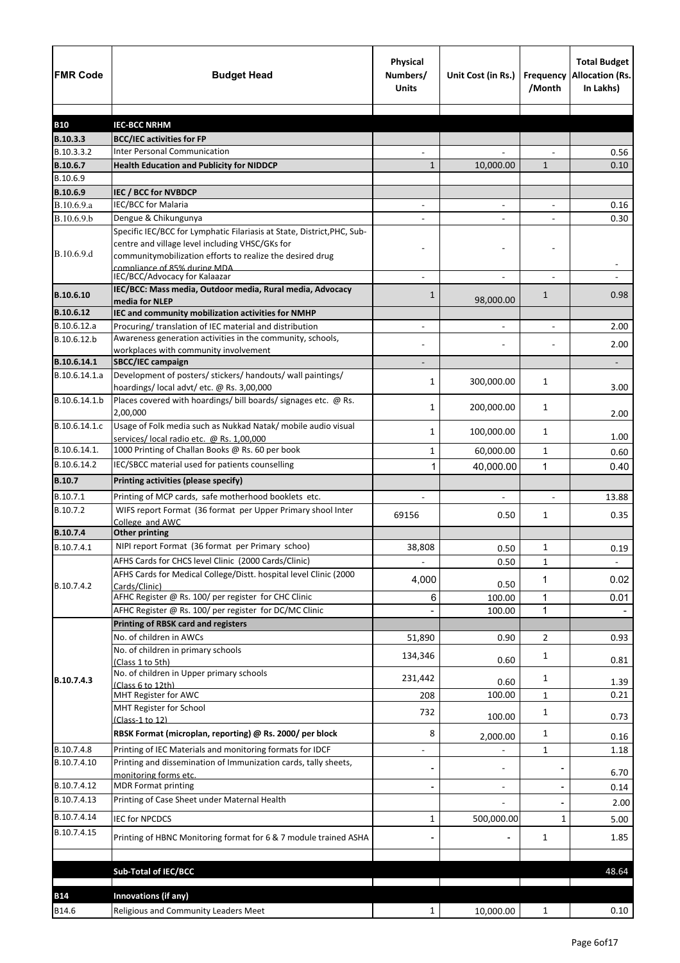| <b>FMR Code</b>            | <b>Budget Head</b>                                                                                                                                                                      | Physical<br>Numbers/<br><b>Units</b> | Unit Cost (in Rs.)       | Frequency<br>/Month | <b>Total Budget</b><br><b>Allocation (Rs.</b><br>In Lakhs) |
|----------------------------|-----------------------------------------------------------------------------------------------------------------------------------------------------------------------------------------|--------------------------------------|--------------------------|---------------------|------------------------------------------------------------|
|                            |                                                                                                                                                                                         |                                      |                          |                     |                                                            |
| <b>B10</b><br>B.10.3.3     | <b>IEC-BCC NRHM</b>                                                                                                                                                                     |                                      |                          |                     |                                                            |
| B.10.3.3.2                 | <b>BCC/IEC activities for FP</b><br><b>Inter Personal Communication</b>                                                                                                                 |                                      |                          |                     | 0.56                                                       |
| B.10.6.7                   | <b>Health Education and Publicity for NIDDCP</b>                                                                                                                                        | 1                                    | 10,000.00                | $\mathbf{1}$        | 0.10                                                       |
| B.10.6.9                   |                                                                                                                                                                                         |                                      |                          |                     |                                                            |
| B.10.6.9                   | IEC / BCC for NVBDCP                                                                                                                                                                    |                                      |                          |                     |                                                            |
| B.10.6.9.a                 | IEC/BCC for Malaria                                                                                                                                                                     | $\blacksquare$                       | $\blacksquare$           | $\blacksquare$      | 0.16                                                       |
| B.10.6.9.b                 | Dengue & Chikungunya                                                                                                                                                                    |                                      |                          |                     | 0.30                                                       |
| B.10.6.9.d                 | Specific IEC/BCC for Lymphatic Filariasis at State, District, PHC, Sub-<br>centre and village level including VHSC/GKs for<br>communitymobilization efforts to realize the desired drug |                                      |                          |                     |                                                            |
|                            | compliance of 85% during MDA<br>IEC/BCC/Advocacy for Kalaazar                                                                                                                           |                                      |                          |                     |                                                            |
| B.10.6.10                  | IEC/BCC: Mass media, Outdoor media, Rural media, Advocacy<br>media for NLEP                                                                                                             | 1                                    | 98,000.00                | $\mathbf{1}$        | 0.98                                                       |
| B.10.6.12                  | IEC and community mobilization activities for NMHP                                                                                                                                      |                                      |                          |                     |                                                            |
| B.10.6.12.a                | Procuring/ translation of IEC material and distribution                                                                                                                                 |                                      |                          |                     | 2.00                                                       |
| B.10.6.12.b                | Awareness generation activities in the community, schools,                                                                                                                              |                                      |                          |                     | 2.00                                                       |
| B.10.6.14.1                | workplaces with community involvement                                                                                                                                                   |                                      |                          |                     |                                                            |
| B.10.6.14.1.a              | SBCC/IEC campaign<br>Development of posters/ stickers/ handouts/ wall paintings/                                                                                                        |                                      |                          |                     | -                                                          |
|                            | hoardings/local advt/etc. @ Rs. 3,00,000                                                                                                                                                | 1                                    | 300,000.00               | 1                   | 3.00                                                       |
| B.10.6.14.1.b              | Places covered with hoardings/ bill boards/ signages etc. @ Rs.<br>2,00,000                                                                                                             | 1                                    | 200,000.00               | 1                   | 2.00                                                       |
| B.10.6.14.1.c              | Usage of Folk media such as Nukkad Natak/ mobile audio visual<br>services/local radio etc. @ Rs. 1,00,000                                                                               | 1                                    | 100,000.00               | 1                   | 1.00                                                       |
| B.10.6.14.1.               | 1000 Printing of Challan Books @ Rs. 60 per book                                                                                                                                        | 1                                    | 60,000.00                | $\mathbf{1}$        | 0.60                                                       |
| B.10.6.14.2                | IEC/SBCC material used for patients counselling                                                                                                                                         | 1                                    | 40,000.00                | 1                   | 0.40                                                       |
| <b>B.10.7</b>              | Printing activities (please specify)                                                                                                                                                    |                                      |                          |                     |                                                            |
| B.10.7.1                   | Printing of MCP cards, safe motherhood booklets etc.                                                                                                                                    |                                      |                          |                     | 13.88                                                      |
| B.10.7.2                   | WIFS report Format (36 format per Upper Primary shool Inter<br>College and AWC                                                                                                          | 69156                                | 0.50                     | 1                   | 0.35                                                       |
| B.10.7.4                   | <b>Other printing</b>                                                                                                                                                                   |                                      |                          |                     |                                                            |
| B.10.7.4.1                 | NIPI report Format (36 format per Primary schoo)                                                                                                                                        | 38,808                               | 0.50                     | 1                   | 0.19                                                       |
|                            | AFHS Cards for CHCS level Clinic (2000 Cards/Clinic)                                                                                                                                    |                                      | 0.50                     | $\mathbf{1}$        |                                                            |
|                            | AFHS Cards for Medical College/Distt. hospital level Clinic (2000                                                                                                                       | 4,000                                |                          | 1                   | 0.02                                                       |
| B.10.7.4.2                 | Cards/Clinic)                                                                                                                                                                           |                                      | 0.50                     |                     |                                                            |
|                            | AFHC Register @ Rs. 100/ per register for CHC Clinic                                                                                                                                    | 6                                    | 100.00                   | $\mathbf{1}$        | 0.01                                                       |
|                            | AFHC Register @ Rs. 100/ per register for DC/MC Clinic                                                                                                                                  |                                      | 100.00                   | 1                   |                                                            |
|                            | <b>Printing of RBSK card and registers</b><br>No. of children in AWCs                                                                                                                   |                                      |                          |                     |                                                            |
|                            | No. of children in primary schools                                                                                                                                                      | 51,890                               | 0.90                     | 2                   | 0.93                                                       |
|                            | (Class 1 to 5th)<br>No. of children in Upper primary schools                                                                                                                            | 134,346                              | 0.60                     | 1                   | 0.81                                                       |
| B.10.7.4.3                 | (Class 6 to 12th)                                                                                                                                                                       | 231,442                              | 0.60                     | 1                   | 1.39                                                       |
|                            | MHT Register for AWC                                                                                                                                                                    | 208                                  | 100.00                   | 1                   | 0.21                                                       |
|                            | MHT Register for School<br>(Class-1 to 12)                                                                                                                                              | 732                                  | 100.00                   | 1                   | 0.73                                                       |
|                            | RBSK Format (microplan, reporting) @ Rs. 2000/ per block                                                                                                                                | 8                                    | 2,000.00                 | $\mathbf 1$         | 0.16                                                       |
| B.10.7.4.8<br>B.10.7.4.10  | Printing of IEC Materials and monitoring formats for IDCF<br>Printing and dissemination of Immunization cards, tally sheets,                                                            | $\qquad \qquad -$                    | $\overline{\phantom{a}}$ | 1                   | 1.18                                                       |
| B.10.7.4.12                | monitoring forms etc.<br><b>MDR Format printing</b>                                                                                                                                     |                                      |                          |                     | 6.70                                                       |
| B.10.7.4.13                | Printing of Case Sheet under Maternal Health                                                                                                                                            |                                      | $\overline{\phantom{a}}$ |                     | 0.14                                                       |
|                            |                                                                                                                                                                                         |                                      |                          |                     | 2.00                                                       |
| B.10.7.4.14<br>B.10.7.4.15 | <b>IEC for NPCDCS</b>                                                                                                                                                                   | 1                                    | 500,000.00               | $\mathbf{1}$        | 5.00                                                       |
|                            | Printing of HBNC Monitoring format for 6 & 7 module trained ASHA                                                                                                                        |                                      |                          | $\mathbf{1}$        | 1.85                                                       |
|                            | <b>Sub-Total of IEC/BCC</b>                                                                                                                                                             |                                      |                          |                     | 48.64                                                      |
|                            |                                                                                                                                                                                         |                                      |                          |                     |                                                            |
| <b>B14</b>                 | Innovations (if any)                                                                                                                                                                    |                                      |                          |                     |                                                            |
| B14.6                      | Religious and Community Leaders Meet                                                                                                                                                    | $\mathbf{1}$                         | 10,000.00                | $\mathbf{1}$        | 0.10                                                       |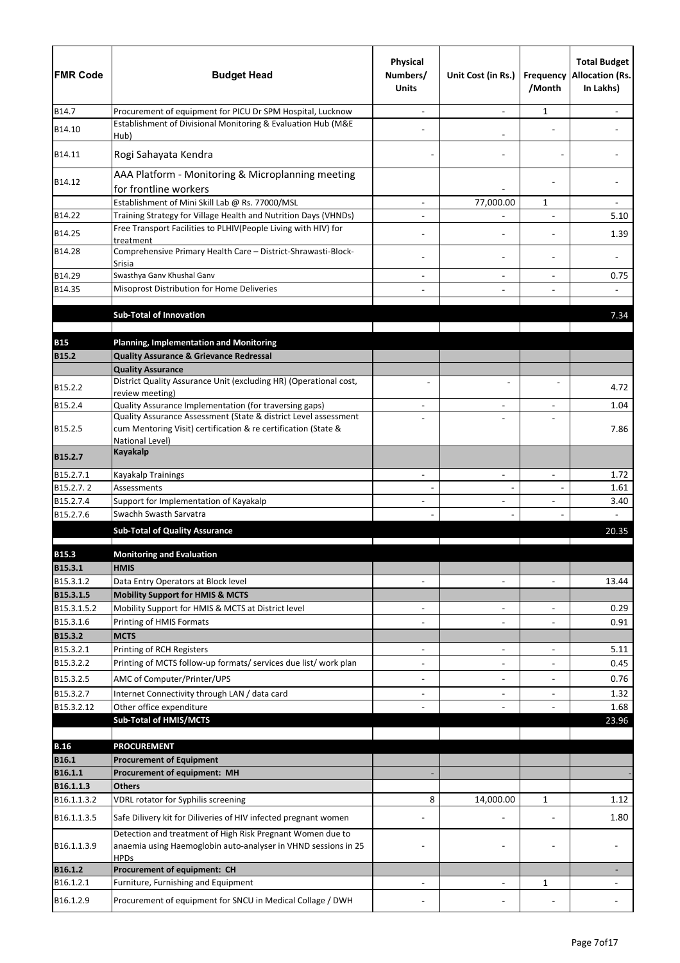| <b>FMR Code</b>          | <b>Budget Head</b>                                                                                                           | <b>Physical</b><br>Numbers/<br><b>Units</b> | Unit Cost (in Rs.)                         | /Month                         | <b>Total Budget</b><br>Frequency Allocation (Rs.<br>In Lakhs) |
|--------------------------|------------------------------------------------------------------------------------------------------------------------------|---------------------------------------------|--------------------------------------------|--------------------------------|---------------------------------------------------------------|
| B14.7                    | Procurement of equipment for PICU Dr SPM Hospital, Lucknow                                                                   |                                             |                                            | 1                              |                                                               |
| B14.10                   | Establishment of Divisional Monitoring & Evaluation Hub (M&E<br>Hub)                                                         |                                             |                                            |                                |                                                               |
| B14.11                   | Rogi Sahayata Kendra                                                                                                         |                                             |                                            |                                |                                                               |
| B14.12                   | AAA Platform - Monitoring & Microplanning meeting<br>for frontline workers                                                   |                                             |                                            |                                |                                                               |
|                          | Establishment of Mini Skill Lab @ Rs. 77000/MSL                                                                              |                                             | 77,000.00                                  | 1                              |                                                               |
| B14.22                   | Training Strategy for Village Health and Nutrition Days (VHNDs)                                                              | $\blacksquare$                              |                                            | $\overline{a}$                 | 5.10                                                          |
| B14.25                   | Free Transport Facilities to PLHIV(People Living with HIV) for<br>treatment                                                  |                                             |                                            |                                | 1.39                                                          |
| B14.28                   | Comprehensive Primary Health Care - District-Shrawasti-Block-<br>Srisia                                                      |                                             |                                            |                                |                                                               |
| B14.29                   | Swasthya Ganv Khushal Ganv                                                                                                   |                                             |                                            |                                | 0.75                                                          |
| B14.35                   | Misoprost Distribution for Home Deliveries                                                                                   |                                             |                                            |                                |                                                               |
|                          |                                                                                                                              |                                             |                                            |                                |                                                               |
|                          | <b>Sub-Total of Innovation</b>                                                                                               |                                             |                                            |                                | 7.34                                                          |
| <b>B15</b>               | <b>Planning, Implementation and Monitoring</b>                                                                               |                                             |                                            |                                |                                                               |
| <b>B15.2</b>             | <b>Quality Assurance &amp; Grievance Redressal</b>                                                                           |                                             |                                            |                                |                                                               |
|                          | <b>Quality Assurance</b>                                                                                                     |                                             |                                            |                                |                                                               |
| B15.2.2                  | District Quality Assurance Unit (excluding HR) (Operational cost,                                                            |                                             |                                            |                                | 4.72                                                          |
| B15.2.4                  | review meeting)<br>Quality Assurance Implementation (for traversing gaps)                                                    |                                             |                                            |                                | 1.04                                                          |
|                          | Quality Assurance Assessment (State & district Level assessment                                                              |                                             |                                            | L,                             |                                                               |
| B15.2.5                  | cum Mentoring Visit) certification & re certification (State &<br>National Level)                                            |                                             |                                            |                                | 7.86                                                          |
| B15.2.7                  | <b>Kayakalp</b>                                                                                                              |                                             |                                            |                                |                                                               |
| B15.2.7.1                | Kayakalp Trainings                                                                                                           | $\blacksquare$                              | $\overline{a}$                             | $\ddot{\phantom{1}}$           | 1.72                                                          |
| B15.2.7.2                | Assessments                                                                                                                  |                                             |                                            |                                | 1.61                                                          |
| B15.2.7.4<br>B15.2.7.6   | Support for Implementation of Kayakalp<br>Swachh Swasth Sarvatra                                                             |                                             |                                            |                                | 3.40                                                          |
|                          | <b>Sub-Total of Quality Assurance</b>                                                                                        |                                             |                                            |                                | 20.35                                                         |
|                          |                                                                                                                              |                                             |                                            |                                |                                                               |
| <b>B15.3</b>             | <b>Monitoring and Evaluation</b>                                                                                             |                                             |                                            |                                |                                                               |
| B15.3.1                  | <b>HMIS</b>                                                                                                                  |                                             |                                            |                                |                                                               |
| B15.3.1.2                | Data Entry Operators at Block level                                                                                          | $\blacksquare$                              | $\blacksquare$                             | $\sim$                         | 13.44                                                         |
| B15.3.1.5<br>B15.3.1.5.2 | <b>Mobility Support for HMIS &amp; MCTS</b><br>Mobility Support for HMIS & MCTS at District level                            |                                             |                                            |                                | 0.29                                                          |
| B15.3.1.6                | Printing of HMIS Formats                                                                                                     |                                             | $\overline{\phantom{a}}$<br>$\blacksquare$ | $\overline{\phantom{a}}$<br>÷, | 0.91                                                          |
| B15.3.2                  | <b>MCTS</b>                                                                                                                  |                                             |                                            |                                |                                                               |
| B15.3.2.1                | Printing of RCH Registers                                                                                                    | -                                           | $\blacksquare$                             | $\blacksquare$                 | 5.11                                                          |
| B15.3.2.2                | Printing of MCTS follow-up formats/ services due list/ work plan                                                             |                                             |                                            |                                | 0.45                                                          |
| B15.3.2.5                | AMC of Computer/Printer/UPS                                                                                                  | -                                           | $\overline{\phantom{a}}$                   | $\blacksquare$                 | 0.76                                                          |
| B15.3.2.7                | Internet Connectivity through LAN / data card                                                                                | $\overline{\phantom{0}}$                    | $\blacksquare$                             | $\blacksquare$                 | 1.32                                                          |
| B15.3.2.12               | Other office expenditure                                                                                                     |                                             |                                            |                                | 1.68                                                          |
|                          | <b>Sub-Total of HMIS/MCTS</b>                                                                                                |                                             |                                            |                                | 23.96                                                         |
| <b>B.16</b>              | <b>PROCUREMENT</b>                                                                                                           |                                             |                                            |                                |                                                               |
| <b>B16.1</b>             | <b>Procurement of Equipment</b>                                                                                              |                                             |                                            |                                |                                                               |
| B16.1.1                  | Procurement of equipment: MH                                                                                                 |                                             |                                            |                                |                                                               |
| B16.1.1.3                | <b>Others</b>                                                                                                                |                                             |                                            |                                |                                                               |
| B16.1.1.3.2              | VDRL rotator for Syphilis screening                                                                                          | 8                                           | 14,000.00                                  | 1                              | 1.12                                                          |
| B16.1.1.3.5              | Safe Dilivery kit for Diliveries of HIV infected pregnant women                                                              |                                             |                                            |                                | 1.80                                                          |
| B16.1.1.3.9              | Detection and treatment of High Risk Pregnant Women due to<br>anaemia using Haemoglobin auto-analyser in VHND sessions in 25 |                                             |                                            |                                |                                                               |
| B16.1.2                  | <b>HPDs</b><br>Procurement of equipment: CH                                                                                  |                                             |                                            |                                |                                                               |
| B16.1.2.1                | Furniture, Furnishing and Equipment                                                                                          |                                             | $\blacksquare$                             | 1                              |                                                               |
| B16.1.2.9                | Procurement of equipment for SNCU in Medical Collage / DWH                                                                   |                                             |                                            |                                |                                                               |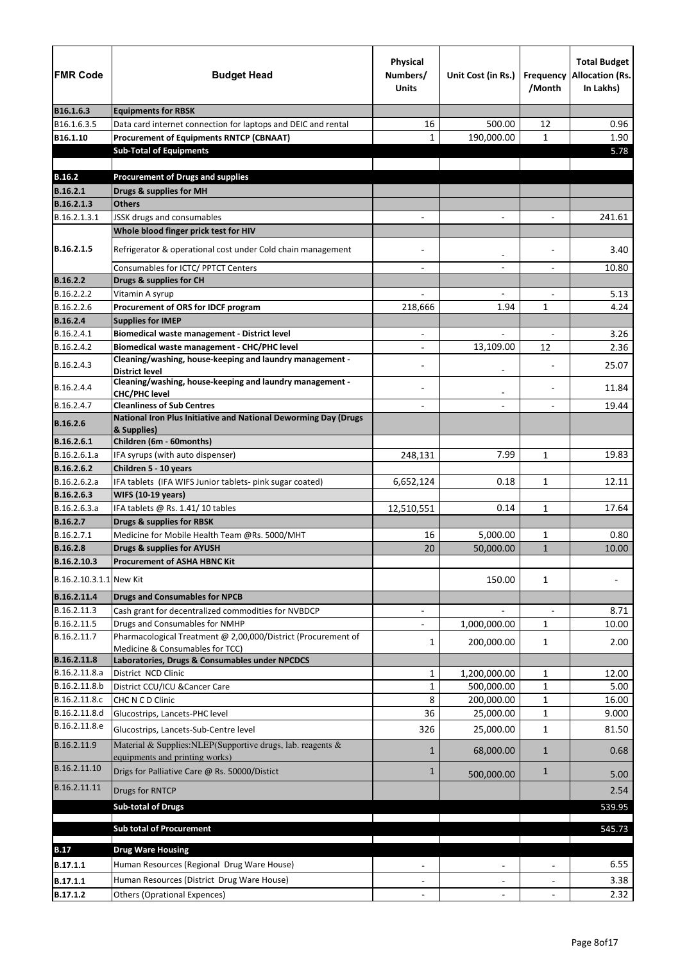| <b>FMR Code</b>            | <b>Budget Head</b>                                                                                   | <b>Physical</b><br>Numbers/<br><b>Units</b> | Unit Cost (in Rs.)       | Frequency<br>/Month      | <b>Total Budget</b><br><b>Allocation (Rs.</b><br>In Lakhs) |
|----------------------------|------------------------------------------------------------------------------------------------------|---------------------------------------------|--------------------------|--------------------------|------------------------------------------------------------|
| B16.1.6.3                  | <b>Equipments for RBSK</b>                                                                           |                                             |                          |                          |                                                            |
| B16.1.6.3.5                | Data card internet connection for laptops and DEIC and rental                                        | 16                                          | 500.00                   | 12                       | 0.96                                                       |
| B16.1.10                   | <b>Procurement of Equipments RNTCP (CBNAAT)</b><br><b>Sub-Total of Equipments</b>                    | $\mathbf{1}$                                | 190,000.00               | $\mathbf{1}$             | 1.90<br>5.78                                               |
| <b>B.16.2</b>              | <b>Procurement of Drugs and supplies</b>                                                             |                                             |                          |                          |                                                            |
| B.16.2.1                   | Drugs & supplies for MH                                                                              |                                             |                          |                          |                                                            |
| B.16.2.1.3                 | <b>Others</b>                                                                                        |                                             |                          |                          |                                                            |
| B.16.2.1.3.1               | JSSK drugs and consumables                                                                           |                                             | $\overline{\phantom{a}}$ | $\overline{\phantom{a}}$ | 241.61                                                     |
|                            | Whole blood finger prick test for HIV                                                                |                                             |                          |                          |                                                            |
| B.16.2.1.5                 | Refrigerator & operational cost under Cold chain management                                          |                                             | $\overline{\phantom{a}}$ |                          | 3.40                                                       |
|                            | Consumables for ICTC/ PPTCT Centers                                                                  |                                             | $\overline{\phantom{0}}$ | $\overline{\phantom{0}}$ | 10.80                                                      |
| <b>B.16.2.2</b>            | Drugs & supplies for CH                                                                              |                                             |                          |                          |                                                            |
| B.16.2.2.2                 | Vitamin A syrup                                                                                      |                                             |                          |                          | 5.13                                                       |
| B.16.2.2.6                 | Procurement of ORS for IDCF program                                                                  | 218,666                                     | 1.94                     | 1                        | 4.24                                                       |
| <b>B.16.2.4</b>            | <b>Supplies for IMEP</b>                                                                             |                                             |                          |                          |                                                            |
| B.16.2.4.1<br>B.16.2.4.2   | Biomedical waste management - District level<br><b>Biomedical waste management - CHC/PHC level</b>   |                                             |                          | 12                       | 3.26<br>2.36                                               |
|                            | Cleaning/washing, house-keeping and laundry management -                                             |                                             | 13,109.00                |                          |                                                            |
| B.16.2.4.3                 | <b>District level</b><br>Cleaning/washing, house-keeping and laundry management -                    |                                             |                          |                          | 25.07                                                      |
| B.16.2.4.4                 | <b>CHC/PHC level</b>                                                                                 |                                             |                          |                          | 11.84                                                      |
| B.16.2.4.7                 | <b>Cleanliness of Sub Centres</b><br>National Iron Plus Initiative and National Deworming Day (Drugs |                                             |                          |                          | 19.44                                                      |
| <b>B.16.2.6</b>            | & Supplies)                                                                                          |                                             |                          |                          |                                                            |
| B.16.2.6.1                 | Children (6m - 60months)                                                                             |                                             |                          |                          |                                                            |
| B.16.2.6.1.a<br>B.16.2.6.2 | IFA syrups (with auto dispenser)<br>Children 5 - 10 years                                            | 248,131                                     | 7.99                     | 1                        | 19.83                                                      |
| B.16.2.6.2.a               | IFA tablets (IFA WIFS Junior tablets- pink sugar coated)                                             | 6,652,124                                   | 0.18                     | $\mathbf{1}$             | 12.11                                                      |
| B.16.2.6.3                 | <b>WIFS (10-19 years)</b>                                                                            |                                             |                          |                          |                                                            |
| B.16.2.6.3.a               | IFA tablets @ Rs. 1.41/10 tables                                                                     | 12,510,551                                  | 0.14                     | 1                        | 17.64                                                      |
| B.16.2.7                   | <b>Drugs &amp; supplies for RBSK</b>                                                                 |                                             |                          |                          |                                                            |
| B.16.2.7.1                 | Medicine for Mobile Health Team @Rs. 5000/MHT                                                        | 16                                          | 5,000.00                 | 1                        | 0.80                                                       |
| <b>B.16.2.8</b>            | <b>Drugs &amp; supplies for AYUSH</b>                                                                | 20                                          | 50,000.00                | $\mathbf{1}$             | 10.00                                                      |
| B.16.2.10.3                | <b>Procurement of ASHA HBNC Kit</b>                                                                  |                                             |                          |                          |                                                            |
| B.16.2.10.3.1.1 New Kit    |                                                                                                      |                                             | 150.00                   | $\mathbf{1}$             |                                                            |
| B.16.2.11.4                | <b>Drugs and Consumables for NPCB</b>                                                                |                                             |                          |                          |                                                            |
| B.16.2.11.3                | Cash grant for decentralized commodities for NVBDCP                                                  |                                             |                          | $\blacksquare$           | 8.71                                                       |
| B.16.2.11.5                | Drugs and Consumables for NMHP                                                                       |                                             | 1,000,000.00             | 1                        | 10.00                                                      |
| B.16.2.11.7                | Pharmacological Treatment @ 2,00,000/District (Procurement of<br>Medicine & Consumables for TCC)     | 1                                           | 200,000.00               | 1                        | 2.00                                                       |
| B.16.2.11.8                | Laboratories, Drugs & Consumables under NPCDCS                                                       |                                             |                          |                          |                                                            |
| B.16.2.11.8.a              | District NCD Clinic                                                                                  | $\mathbf{1}$                                | 1,200,000.00             | $\mathbf{1}$             | 12.00                                                      |
| B.16.2.11.8.b              | District CCU/ICU & Cancer Care                                                                       | $\mathbf{1}$                                | 500,000.00               | $\mathbf{1}$             | 5.00                                                       |
| B.16.2.11.8.c              | CHC N C D Clinic                                                                                     | 8                                           | 200,000.00               | 1                        | 16.00                                                      |
| B.16.2.11.8.d              | Glucostrips, Lancets-PHC level                                                                       | 36                                          | 25,000.00                | 1                        | 9.000                                                      |
| B.16.2.11.8.e              | Glucostrips, Lancets-Sub-Centre level                                                                | 326                                         | 25,000.00                | $\mathbf{1}$             | 81.50                                                      |
| B.16.2.11.9                | Material & Supplies: NLEP(Supportive drugs, lab. reagents &<br>equipments and printing works)        | 1                                           | 68,000.00                | $\mathbf{1}$             | 0.68                                                       |
| B.16.2.11.10               | Drigs for Palliative Care @ Rs. 50000/Distict                                                        | 1                                           | 500,000.00               | $\mathbf{1}$             | 5.00                                                       |
| B.16.2.11.11               | Drugs for RNTCP                                                                                      |                                             |                          |                          | 2.54                                                       |
|                            | <b>Sub-total of Drugs</b>                                                                            |                                             |                          |                          | 539.95                                                     |
|                            | <b>Sub total of Procurement</b>                                                                      |                                             |                          |                          | 545.73                                                     |
|                            |                                                                                                      |                                             |                          |                          |                                                            |
| <b>B.17</b>                | <b>Drug Ware Housing</b>                                                                             |                                             |                          |                          |                                                            |
| B.17.1.1                   | Human Resources (Regional Drug Ware House)                                                           |                                             |                          |                          | 6.55                                                       |
| B.17.1.1                   | Human Resources (District Drug Ware House)                                                           |                                             |                          |                          | 3.38                                                       |
| B.17.1.2                   | <b>Others (Oprational Expences)</b>                                                                  |                                             |                          |                          | 2.32                                                       |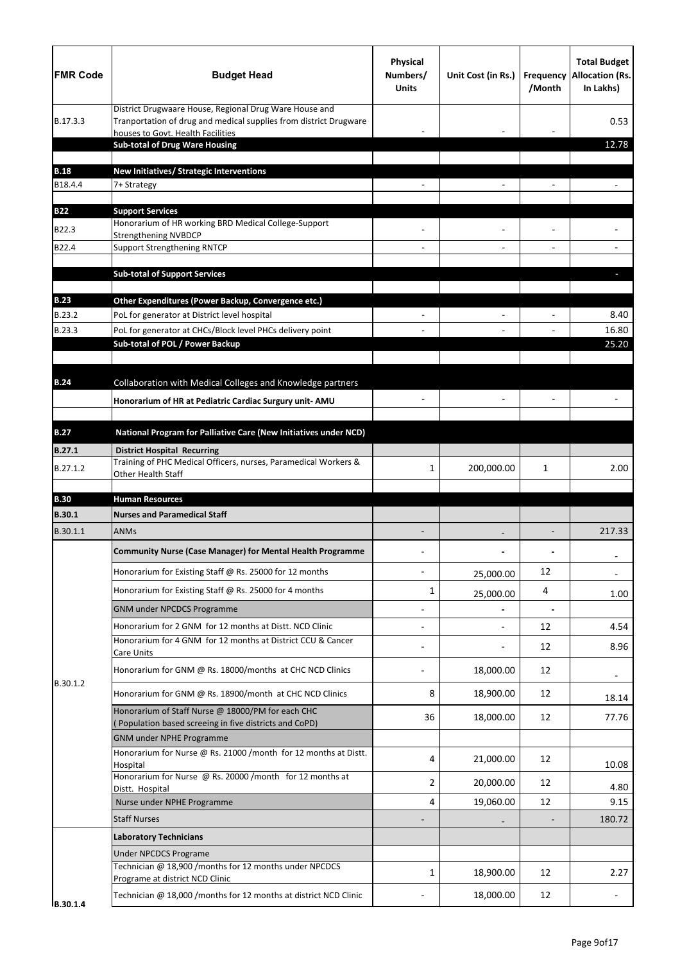| <b>FMR Code</b> | <b>Budget Head</b>                                                                                                                                               | <b>Physical</b><br>Numbers/<br><b>Units</b> | Unit Cost (in Rs.) | <b>Frequency</b><br>/Month | <b>Total Budget</b><br><b>Allocation (Rs.</b><br>In Lakhs) |
|-----------------|------------------------------------------------------------------------------------------------------------------------------------------------------------------|---------------------------------------------|--------------------|----------------------------|------------------------------------------------------------|
| B.17.3.3        | District Drugwaare House, Regional Drug Ware House and<br>Tranportation of drug and medical supplies from district Drugware<br>houses to Govt. Health Facilities |                                             |                    |                            | 0.53                                                       |
|                 | <b>Sub-total of Drug Ware Housing</b>                                                                                                                            |                                             |                    |                            | 12.78                                                      |
| <b>B.18</b>     | New Initiatives/ Strategic Interventions                                                                                                                         |                                             |                    |                            |                                                            |
| B18.4.4         | 7+ Strategy                                                                                                                                                      |                                             |                    |                            |                                                            |
|                 |                                                                                                                                                                  |                                             |                    |                            |                                                            |
| <b>B22</b>      | <b>Support Services</b><br>Honorarium of HR working BRD Medical College-Support                                                                                  |                                             |                    |                            |                                                            |
| B22.3           | <b>Strengthening NVBDCP</b>                                                                                                                                      |                                             |                    |                            |                                                            |
| B22.4           | <b>Support Strengthening RNTCP</b>                                                                                                                               |                                             |                    |                            |                                                            |
|                 | <b>Sub-total of Support Services</b>                                                                                                                             |                                             |                    |                            |                                                            |
| <b>B.23</b>     | Other Expenditures (Power Backup, Convergence etc.)                                                                                                              |                                             |                    |                            |                                                            |
| B.23.2          | PoL for generator at District level hospital                                                                                                                     |                                             |                    |                            | 8.40                                                       |
| B.23.3          | PoL for generator at CHCs/Block level PHCs delivery point                                                                                                        |                                             |                    |                            | 16.80                                                      |
|                 | Sub-total of POL / Power Backup                                                                                                                                  |                                             |                    |                            | 25.20                                                      |
|                 |                                                                                                                                                                  |                                             |                    |                            |                                                            |
| <b>B.24</b>     | Collaboration with Medical Colleges and Knowledge partners                                                                                                       |                                             |                    |                            |                                                            |
|                 | Honorarium of HR at Pediatric Cardiac Surgury unit- AMU                                                                                                          |                                             |                    |                            |                                                            |
| <b>B.27</b>     | National Program for Palliative Care (New Initiatives under NCD)                                                                                                 |                                             |                    |                            |                                                            |
| <b>B.27.1</b>   | <b>District Hospital Recurring</b>                                                                                                                               |                                             |                    |                            |                                                            |
| B.27.1.2        | Training of PHC Medical Officers, nurses, Paramedical Workers &<br>Other Health Staff                                                                            | 1                                           | 200,000.00         | 1                          | 2.00                                                       |
| <b>B.30</b>     | <b>Human Resources</b>                                                                                                                                           |                                             |                    |                            |                                                            |
| <b>B.30.1</b>   | <b>Nurses and Paramedical Staff</b>                                                                                                                              |                                             |                    |                            |                                                            |
| B.30.1.1        | <b>ANMs</b>                                                                                                                                                      |                                             |                    |                            | 217.33                                                     |
|                 | <b>Community Nurse (Case Manager) for Mental Health Programme</b>                                                                                                |                                             |                    |                            |                                                            |
|                 | Honorarium for Existing Staff @ Rs. 25000 for 12 months                                                                                                          |                                             | 25,000.00          | 12                         |                                                            |
|                 | Honorarium for Existing Staff @ Rs. 25000 for 4 months                                                                                                           | 1                                           | 25,000.00          | 4                          | 1.00                                                       |
|                 | <b>GNM under NPCDCS Programme</b>                                                                                                                                |                                             |                    | $\blacksquare$             |                                                            |
|                 | Honorarium for 2 GNM for 12 months at Distt. NCD Clinic                                                                                                          |                                             |                    | 12                         | 4.54                                                       |
|                 | Honorarium for 4 GNM for 12 months at District CCU & Cancer<br>Care Units                                                                                        |                                             |                    | 12                         | 8.96                                                       |
| B.30.1.2        | Honorarium for GNM @ Rs. 18000/months at CHC NCD Clinics                                                                                                         |                                             | 18,000.00          | 12                         |                                                            |
|                 | Honorarium for GNM @ Rs. 18900/month at CHC NCD Clinics                                                                                                          | 8                                           | 18,900.00          | 12                         | 18.14                                                      |
|                 | Honorarium of Staff Nurse @ 18000/PM for each CHC<br>Population based screeing in five districts and CoPD)                                                       | 36                                          | 18,000.00          | 12                         | 77.76                                                      |
|                 | <b>GNM under NPHE Programme</b>                                                                                                                                  |                                             |                    |                            |                                                            |
|                 | Honorarium for Nurse @ Rs. 21000 /month for 12 months at Distt.<br>Hospital                                                                                      | 4                                           | 21,000.00          | 12                         | 10.08                                                      |
|                 | Honorarium for Nurse @ Rs. 20000 /month for 12 months at                                                                                                         | 2                                           | 20,000.00          | 12                         |                                                            |
|                 | Distt. Hospital<br>Nurse under NPHE Programme                                                                                                                    | 4                                           | 19,060.00          | 12                         | 4.80<br>9.15                                               |
|                 | <b>Staff Nurses</b>                                                                                                                                              |                                             |                    |                            | 180.72                                                     |
|                 | <b>Laboratory Technicians</b>                                                                                                                                    |                                             |                    |                            |                                                            |
|                 | <b>Under NPCDCS Programe</b>                                                                                                                                     |                                             |                    |                            |                                                            |
|                 | Technician @ 18,900 /months for 12 months under NPCDCS                                                                                                           | 1                                           | 18,900.00          | 12                         | 2.27                                                       |
|                 | Programe at district NCD Clinic                                                                                                                                  |                                             |                    |                            |                                                            |
| B.30.1.4        | Technician @ 18,000 /months for 12 months at district NCD Clinic                                                                                                 |                                             | 18,000.00          | 12                         |                                                            |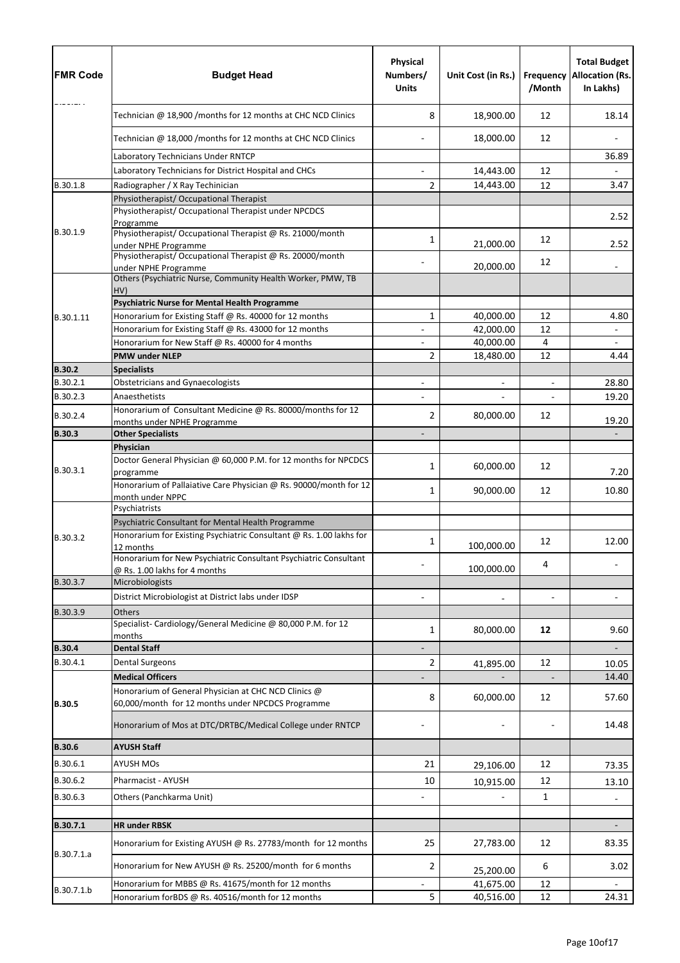| <b>FMR Code</b>      | <b>Budget Head</b>                                                                                                        | Physical<br>Numbers/<br><b>Units</b> | Unit Cost (in Rs.) | <b>Frequency</b><br>/Month | <b>Total Budget</b><br><b>Allocation (Rs.</b><br>In Lakhs) |
|----------------------|---------------------------------------------------------------------------------------------------------------------------|--------------------------------------|--------------------|----------------------------|------------------------------------------------------------|
|                      | Technician @ 18,900 /months for 12 months at CHC NCD Clinics                                                              | 8                                    | 18,900.00          | 12                         | 18.14                                                      |
|                      | Technician @ 18,000 /months for 12 months at CHC NCD Clinics                                                              |                                      | 18,000.00          | 12                         |                                                            |
|                      | Laboratory Technicians Under RNTCP                                                                                        |                                      |                    |                            | 36.89                                                      |
|                      | Laboratory Technicians for District Hospital and CHCs                                                                     | $\overline{a}$                       | 14,443.00          | 12                         |                                                            |
| B.30.1.8             | Radiographer / X Ray Techinician                                                                                          | $\overline{2}$                       | 14,443.00          | 12                         | 3.47                                                       |
|                      | Physiotherapist/ Occupational Therapist                                                                                   |                                      |                    |                            |                                                            |
|                      | Physiotherapist/ Occupational Therapist under NPCDCS<br>Programme                                                         |                                      |                    |                            | 2.52                                                       |
| B.30.1.9             | Physiotherapist/ Occupational Therapist @ Rs. 21000/month<br>under NPHE Programme                                         | 1                                    | 21,000.00          | 12                         | 2.52                                                       |
|                      | Physiotherapist/Occupational Therapist @ Rs. 20000/month                                                                  |                                      |                    | 12                         |                                                            |
|                      | under NPHE Programme<br>Others (Psychiatric Nurse, Community Health Worker, PMW, TB                                       |                                      | 20,000.00          |                            | $\overline{a}$                                             |
|                      | HV)<br><b>Psychiatric Nurse for Mental Health Programme</b>                                                               |                                      |                    |                            |                                                            |
| B.30.1.11            | Honorarium for Existing Staff @ Rs. 40000 for 12 months                                                                   | $\mathbf{1}$                         | 40,000.00          | 12                         | 4.80                                                       |
|                      | Honorarium for Existing Staff @ Rs. 43000 for 12 months                                                                   |                                      | 42,000.00          | 12                         |                                                            |
|                      | Honorarium for New Staff @ Rs. 40000 for 4 months                                                                         |                                      | 40,000.00          | $\overline{4}$             |                                                            |
|                      | <b>PMW under NLEP</b>                                                                                                     | 2                                    | 18,480.00          | 12                         | 4.44                                                       |
| <b>B.30.2</b>        | <b>Specialists</b>                                                                                                        |                                      |                    |                            |                                                            |
| B.30.2.1             | <b>Obstetricians and Gynaecologists</b>                                                                                   |                                      |                    | $\overline{\phantom{a}}$   | 28.80                                                      |
| B.30.2.3<br>B.30.2.4 | Anaesthetists<br>Honorarium of Consultant Medicine @ Rs. 80000/months for 12                                              | 2                                    | 80,000.00          | 12                         | 19.20<br>19.20                                             |
| <b>B.30.3</b>        | months under NPHE Programme<br><b>Other Specialists</b>                                                                   |                                      |                    |                            |                                                            |
|                      | Physician                                                                                                                 |                                      |                    |                            |                                                            |
| B.30.3.1             | Doctor General Physician @ 60,000 P.M. for 12 months for NPCDCS<br>programme                                              | 1                                    | 60,000.00          | 12                         | 7.20                                                       |
|                      | Honorarium of Pallaiative Care Physician @ Rs. 90000/month for 12<br>month under NPPC                                     | 1                                    | 90,000.00          | 12                         | 10.80                                                      |
|                      | Psychiatrists                                                                                                             |                                      |                    |                            |                                                            |
| B.30.3.2             | Psychiatric Consultant for Mental Health Programme<br>Honorarium for Existing Psychiatric Consultant @ Rs. 1.00 lakhs for |                                      |                    |                            |                                                            |
|                      | 12 months<br>Honorarium for New Psychiatric Consultant Psychiatric Consultant                                             | 1                                    | 100,000.00         | 12<br>4                    | 12.00                                                      |
|                      | @ Rs. 1.00 lakhs for 4 months                                                                                             |                                      | 100,000.00         |                            |                                                            |
| B.30.3.7             | Microbiologists                                                                                                           |                                      |                    |                            |                                                            |
| B.30.3.9             | District Microbiologist at District labs under IDSP                                                                       |                                      |                    |                            |                                                            |
|                      | Others<br>Specialist-Cardiology/General Medicine @ 80,000 P.M. for 12<br>months                                           | 1                                    | 80,000.00          | 12                         | 9.60                                                       |
| <b>B.30.4</b>        | <b>Dental Staff</b>                                                                                                       |                                      |                    |                            |                                                            |
| B.30.4.1             | <b>Dental Surgeons</b>                                                                                                    | $\overline{2}$                       | 41,895.00          | 12                         | 10.05                                                      |
|                      | <b>Medical Officers</b>                                                                                                   |                                      |                    |                            | 14.40                                                      |
| <b>B.30.5</b>        | Honorarium of General Physician at CHC NCD Clinics @<br>60,000/month for 12 months under NPCDCS Programme                 | 8                                    | 60,000.00          | 12                         | 57.60                                                      |
|                      | Honorarium of Mos at DTC/DRTBC/Medical College under RNTCP                                                                |                                      |                    |                            | 14.48                                                      |
| <b>B.30.6</b>        | <b>AYUSH Staff</b>                                                                                                        |                                      |                    |                            |                                                            |
| B.30.6.1             | <b>AYUSH MOs</b>                                                                                                          | 21                                   | 29,106.00          | 12                         | 73.35                                                      |
| B.30.6.2             | Pharmacist - AYUSH                                                                                                        | 10                                   | 10,915.00          | 12                         | 13.10                                                      |
| B.30.6.3             | Others (Panchkarma Unit)                                                                                                  |                                      |                    | 1                          |                                                            |
|                      |                                                                                                                           |                                      |                    |                            |                                                            |
| B.30.7.1             | <b>HR under RBSK</b>                                                                                                      |                                      |                    |                            |                                                            |
| B.30.7.1.a           | Honorarium for Existing AYUSH @ Rs. 27783/month for 12 months                                                             | 25                                   | 27,783.00          | 12                         | 83.35                                                      |
|                      | Honorarium for New AYUSH @ Rs. 25200/month for 6 months                                                                   | 2                                    | 25,200.00          | 6                          | 3.02                                                       |
| B.30.7.1.b           | Honorarium for MBBS @ Rs. 41675/month for 12 months                                                                       |                                      | 41,675.00          | 12                         |                                                            |
|                      | Honorarium forBDS @ Rs. 40516/month for 12 months                                                                         | 5                                    | 40,516.00          | 12                         | 24.31                                                      |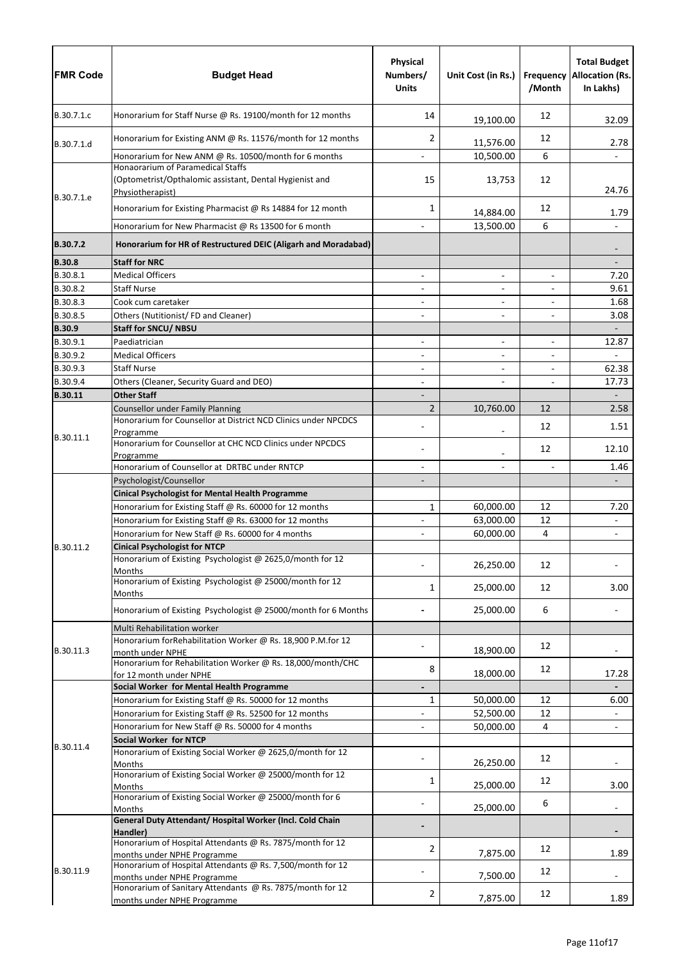| <b>FMR Code</b>      | <b>Budget Head</b>                                                                                               | <b>Physical</b><br>Numbers/<br><b>Units</b> | Unit Cost (in Rs.)       | <b>Frequency</b><br>/Month | <b>Total Budget</b><br><b>Allocation (Rs.</b><br>In Lakhs) |
|----------------------|------------------------------------------------------------------------------------------------------------------|---------------------------------------------|--------------------------|----------------------------|------------------------------------------------------------|
| B.30.7.1.c           | Honorarium for Staff Nurse @ Rs. 19100/month for 12 months                                                       | 14                                          | 19,100.00                | 12                         | 32.09                                                      |
| B.30.7.1.d           | Honorarium for Existing ANM @ Rs. 11576/month for 12 months                                                      | 2                                           | 11,576.00                | 12                         | 2.78                                                       |
|                      | Honorarium for New ANM @ Rs. 10500/month for 6 months                                                            |                                             | 10,500.00                | 6                          |                                                            |
| B.30.7.1.e           | Honaorarium of Paramedical Staffs<br>(Optometrist/Opthalomic assistant, Dental Hygienist and<br>Physiotherapist) | 15                                          | 13,753                   | 12                         | 24.76                                                      |
|                      | Honorarium for Existing Pharmacist @ Rs 14884 for 12 month                                                       | $\mathbf{1}$                                | 14,884.00                | 12                         | 1.79                                                       |
|                      | Honorarium for New Pharmacist @ Rs 13500 for 6 month                                                             |                                             | 13,500.00                | 6                          |                                                            |
| B.30.7.2             | Honorarium for HR of Restructured DEIC (Aligarh and Moradabad)                                                   |                                             |                          |                            |                                                            |
| <b>B.30.8</b>        | <b>Staff for NRC</b>                                                                                             |                                             |                          |                            |                                                            |
| B.30.8.1             | <b>Medical Officers</b>                                                                                          |                                             | $\overline{\phantom{0}}$ | $\overline{\phantom{a}}$   | 7.20                                                       |
| B.30.8.2             | <b>Staff Nurse</b>                                                                                               | $\overline{\phantom{a}}$                    | -                        | $\overline{\phantom{a}}$   | 9.61                                                       |
| B.30.8.3             | Cook cum caretaker                                                                                               |                                             |                          |                            | 1.68                                                       |
| B.30.8.5             | Others (Nutitionist/FD and Cleaner)                                                                              |                                             | $\overline{\phantom{a}}$ | $\overline{\phantom{a}}$   | 3.08                                                       |
| <b>B.30.9</b>        | <b>Staff for SNCU/ NBSU</b>                                                                                      |                                             |                          |                            | $\overline{\phantom{a}}$                                   |
| B.30.9.1<br>B.30.9.2 | Paediatrician<br><b>Medical Officers</b>                                                                         |                                             | $\overline{\phantom{0}}$ | $\overline{\phantom{a}}$   | 12.87                                                      |
| B.30.9.3             | <b>Staff Nurse</b>                                                                                               |                                             | $\overline{\phantom{0}}$ | $\overline{\phantom{a}}$   | 62.38                                                      |
| B.30.9.4             | Others (Cleaner, Security Guard and DEO)                                                                         | $\overline{\phantom{a}}$                    |                          | $\overline{\phantom{a}}$   | 17.73                                                      |
| B.30.11              | <b>Other Staff</b>                                                                                               |                                             |                          |                            | $\overline{\phantom{a}}$                                   |
|                      | Counsellor under Family Planning                                                                                 | $\overline{2}$                              | 10,760.00                | 12                         | 2.58                                                       |
|                      | Honorarium for Counsellor at District NCD Clinics under NPCDCS<br>Programme                                      |                                             |                          | 12                         | 1.51                                                       |
| B.30.11.1            | Honorarium for Counsellor at CHC NCD Clinics under NPCDCS<br>Programme                                           |                                             |                          | 12                         | 12.10                                                      |
|                      | Honorarium of Counsellor at DRTBC under RNTCP                                                                    |                                             |                          |                            | 1.46                                                       |
|                      | Psychologist/Counsellor                                                                                          |                                             |                          |                            |                                                            |
|                      | <b>Cinical Psychologist for Mental Health Programme</b>                                                          |                                             |                          |                            |                                                            |
|                      | Honorarium for Existing Staff @ Rs. 60000 for 12 months                                                          | 1                                           | 60,000.00                | 12                         | 7.20                                                       |
|                      | Honorarium for Existing Staff @ Rs. 63000 for 12 months                                                          |                                             | 63,000.00                | 12                         |                                                            |
|                      | Honorarium for New Staff @ Rs. 60000 for 4 months                                                                |                                             | 60,000.00                | $\overline{4}$             |                                                            |
| B.30.11.2            | <b>Cinical Psychologist for NTCP</b><br>Honorarium of Existing Psychologist @ 2625,0/month for 12                |                                             |                          |                            |                                                            |
|                      | <b>Months</b>                                                                                                    |                                             | 26,250.00                | 12                         |                                                            |
|                      | Honorarium of Existing Psychologist @ 25000/month for 12<br>Months                                               | 1                                           | 25,000.00                | 12                         | 3.00                                                       |
|                      | Honorarium of Existing Psychologist @ 25000/month for 6 Months                                                   |                                             | 25,000.00                | 6                          |                                                            |
|                      | Multi Rehabilitation worker                                                                                      |                                             |                          |                            |                                                            |
| B.30.11.3            | Honorarium forRehabilitation Worker @ Rs. 18,900 P.M.for 12<br>month under NPHE                                  |                                             | 18,900.00                | 12                         |                                                            |
|                      | Honorarium for Rehabilitation Worker @ Rs. 18,000/month/CHC<br>for 12 month under NPHE                           | 8                                           | 18,000.00                | 12                         | 17.28                                                      |
|                      | Social Worker for Mental Health Programme                                                                        |                                             |                          |                            |                                                            |
|                      | Honorarium for Existing Staff @ Rs. 50000 for 12 months                                                          | 1                                           | 50,000.00                | 12                         | 6.00                                                       |
|                      | Honorarium for Existing Staff @ Rs. 52500 for 12 months                                                          |                                             | 52,500.00                | 12                         |                                                            |
|                      | Honorarium for New Staff @ Rs. 50000 for 4 months                                                                |                                             | 50,000.00                | 4                          | $\overline{\phantom{a}}$                                   |
| B.30.11.4            | Social Worker for NTCP<br>Honorarium of Existing Social Worker @ 2625,0/month for 12                             |                                             |                          | 12                         |                                                            |
|                      | Months<br>Honorarium of Existing Social Worker @ 25000/month for 12                                              | 1                                           | 26,250.00                | 12                         |                                                            |
|                      | Months<br>Honorarium of Existing Social Worker @ 25000/month for 6                                               |                                             | 25,000.00                | 6                          | 3.00                                                       |
|                      | <b>Months</b><br>General Duty Attendant/ Hospital Worker (Incl. Cold Chain                                       |                                             | 25,000.00                |                            |                                                            |
|                      | Handler)<br>Honorarium of Hospital Attendants @ Rs. 7875/month for 12                                            |                                             |                          |                            |                                                            |
|                      | months under NPHE Programme                                                                                      | 2                                           | 7,875.00                 | 12                         | 1.89                                                       |
| B.30.11.9            | Honorarium of Hospital Attendants @ Rs. 7,500/month for 12<br>months under NPHE Programme                        |                                             | 7,500.00                 | 12                         |                                                            |
|                      | Honorarium of Sanitary Attendants @ Rs. 7875/month for 12<br>months under NPHE Programme                         | $\overline{2}$                              | 7,875.00                 | 12                         | 1.89                                                       |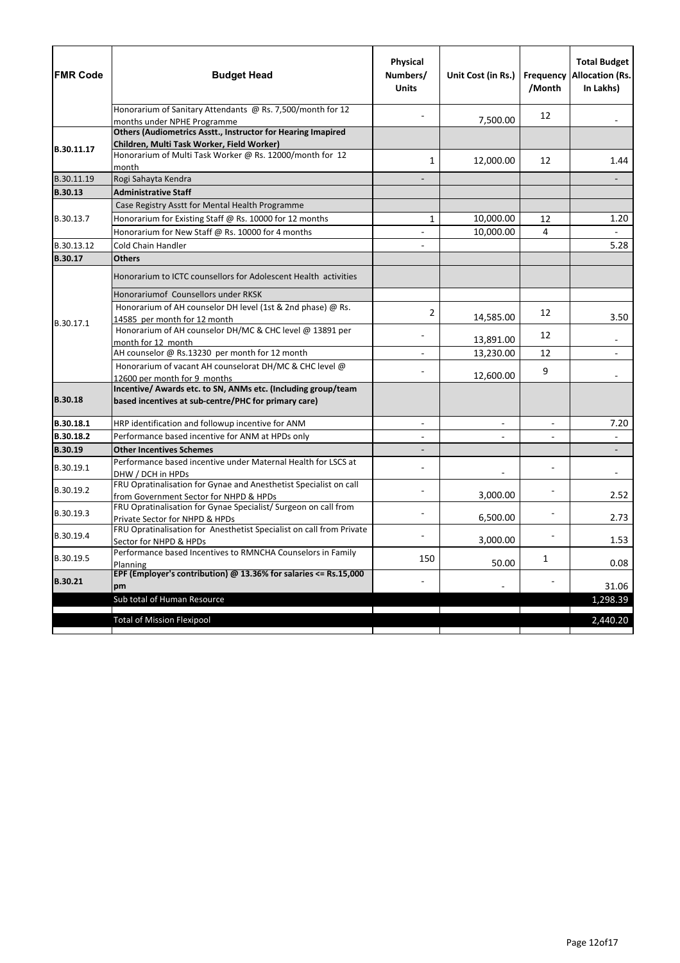| <b>FMR Code</b> | <b>Budget Head</b>                                                                                                    | Physical<br>Numbers/<br><b>Units</b> | Unit Cost (in Rs.)       | /Month                   | <b>Total Budget</b><br><b>Frequency Allocation (Rs.</b><br>In Lakhs) |
|-----------------|-----------------------------------------------------------------------------------------------------------------------|--------------------------------------|--------------------------|--------------------------|----------------------------------------------------------------------|
|                 | Honorarium of Sanitary Attendants @ Rs. 7,500/month for 12<br>months under NPHE Programme                             |                                      | 7,500.00                 | 12                       |                                                                      |
|                 | Others (Audiometrics Asstt., Instructor for Hearing Imapired                                                          |                                      |                          |                          |                                                                      |
|                 | Children, Multi Task Worker, Field Worker)                                                                            |                                      |                          |                          |                                                                      |
| B.30.11.17      | Honorarium of Multi Task Worker @ Rs. 12000/month for 12<br>month                                                     | 1                                    | 12,000.00                | 12                       | 1.44                                                                 |
| B.30.11.19      | Rogi Sahayta Kendra                                                                                                   |                                      |                          |                          |                                                                      |
| <b>B.30.13</b>  | <b>Administrative Staff</b>                                                                                           |                                      |                          |                          |                                                                      |
|                 | Case Registry Asstt for Mental Health Programme                                                                       |                                      |                          |                          |                                                                      |
| B.30.13.7       | Honorarium for Existing Staff @ Rs. 10000 for 12 months                                                               | 1                                    | 10,000.00                | 12                       | 1.20                                                                 |
|                 | Honorarium for New Staff @ Rs. 10000 for 4 months                                                                     |                                      | 10,000.00                | 4                        |                                                                      |
| B.30.13.12      | Cold Chain Handler                                                                                                    |                                      |                          |                          | 5.28                                                                 |
| <b>B.30.17</b>  | <b>Others</b>                                                                                                         |                                      |                          |                          |                                                                      |
|                 | Honorarium to ICTC counsellors for Adolescent Health activities                                                       |                                      |                          |                          |                                                                      |
| B.30.17.1       | Honorariumof Counsellors under RKSK                                                                                   |                                      |                          |                          |                                                                      |
|                 | Honorarium of AH counselor DH level (1st & 2nd phase) @ Rs.                                                           | 2                                    |                          | 12                       |                                                                      |
|                 | 14585 per month for 12 month                                                                                          |                                      | 14,585.00                |                          | 3.50                                                                 |
|                 | Honorarium of AH counselor DH/MC & CHC level @ 13891 per                                                              |                                      | 13,891.00                | 12                       |                                                                      |
|                 | month for 12 month<br>AH counselor @ Rs.13230 per month for 12 month                                                  |                                      | 13,230.00                | 12                       |                                                                      |
|                 | Honorarium of vacant AH counselorat DH/MC & CHC level @                                                               |                                      |                          |                          |                                                                      |
|                 | 12600 per month for 9 months                                                                                          |                                      | 12,600.00                | 9                        |                                                                      |
| <b>B.30.18</b>  | Incentive/ Awards etc. to SN, ANMs etc. (Including group/team<br>based incentives at sub-centre/PHC for primary care) |                                      |                          |                          |                                                                      |
| B.30.18.1       | HRP identification and followup incentive for ANM                                                                     |                                      | $\overline{\phantom{0}}$ | $\overline{\phantom{a}}$ | 7.20                                                                 |
| B.30.18.2       | Performance based incentive for ANM at HPDs only                                                                      |                                      |                          | $\blacksquare$           |                                                                      |
| B.30.19         | <b>Other Incentives Schemes</b>                                                                                       |                                      |                          |                          |                                                                      |
| B.30.19.1       | Performance based incentive under Maternal Health for LSCS at<br>DHW / DCH in HPDs                                    |                                      |                          |                          |                                                                      |
| B.30.19.2       | FRU Opratinalisation for Gynae and Anesthetist Specialist on call<br>from Government Sector for NHPD & HPDs           |                                      | 3,000.00                 |                          | 2.52                                                                 |
| B.30.19.3       | FRU Opratinalisation for Gynae Specialist/ Surgeon on call from<br>Private Sector for NHPD & HPDs                     |                                      | 6,500.00                 |                          | 2.73                                                                 |
| B.30.19.4       | FRU Opratinalisation for Anesthetist Specialist on call from Private<br>Sector for NHPD & HPDs                        |                                      | 3,000.00                 |                          | 1.53                                                                 |
| B.30.19.5       | Performance based Incentives to RMNCHA Counselors in Family<br>Planning                                               | 150                                  | 50.00                    | 1                        | 0.08                                                                 |
| <b>B.30.21</b>  | EPF (Employer's contribution) @ 13.36% for salaries $\leq$ Rs.15,000<br>pm                                            |                                      |                          |                          | 31.06                                                                |
|                 | Sub total of Human Resource                                                                                           |                                      |                          |                          | 1,298.39                                                             |
|                 | <b>Total of Mission Flexipool</b>                                                                                     |                                      |                          |                          | 2,440.20                                                             |
|                 |                                                                                                                       |                                      |                          |                          |                                                                      |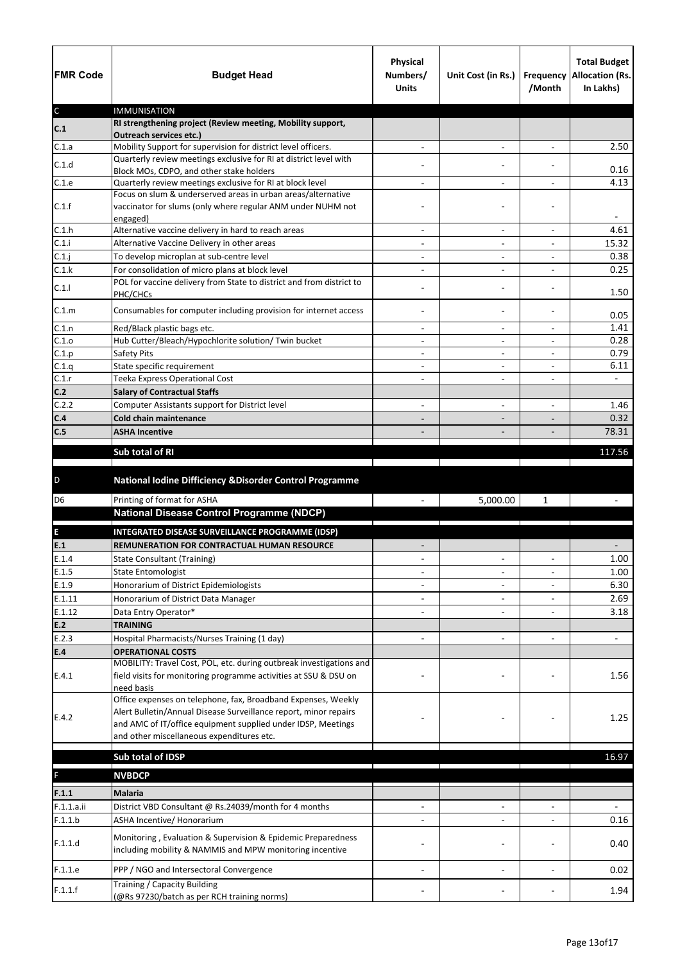| <b>FMR Code</b> | <b>Budget Head</b>                                                                                                        | Physical<br>Numbers/<br><b>Units</b> | Unit Cost (in Rs.)                                   | /Month                   | <b>Total Budget</b><br>Frequency Allocation (Rs.<br>In Lakhs) |
|-----------------|---------------------------------------------------------------------------------------------------------------------------|--------------------------------------|------------------------------------------------------|--------------------------|---------------------------------------------------------------|
| $\mathsf C$     | <b>IMMUNISATION</b><br>RI strengthening project (Review meeting, Mobility support,                                        |                                      |                                                      |                          |                                                               |
| C.1             | <b>Outreach services etc.)</b>                                                                                            |                                      |                                                      |                          |                                                               |
| C.1.a           | Mobility Support for supervision for district level officers.                                                             | $\overline{\phantom{a}}$             | $\overline{\phantom{a}}$                             | $\overline{\phantom{a}}$ | 2.50                                                          |
| C.1.d           | Quarterly review meetings exclusive for RI at district level with                                                         |                                      |                                                      |                          |                                                               |
|                 | Block MOs, CDPO, and other stake holders                                                                                  |                                      |                                                      |                          | 0.16<br>4.13                                                  |
| C.1.e           | Quarterly review meetings exclusive for RI at block level<br>Focus on slum & underserved areas in urban areas/alternative |                                      | $\overline{\phantom{0}}$                             |                          |                                                               |
| C.1.f           | vaccinator for slums (only where regular ANM under NUHM not<br>engaged)                                                   |                                      |                                                      |                          |                                                               |
| C.1.h           | Alternative vaccine delivery in hard to reach areas                                                                       |                                      | $\overline{\phantom{0}}$                             |                          | 4.61                                                          |
| C.1.i           | Alternative Vaccine Delivery in other areas                                                                               | $\overline{\phantom{a}}$             | $\overline{\phantom{a}}$                             | $\overline{\phantom{a}}$ | 15.32                                                         |
| C.1.j           | To develop microplan at sub-centre level                                                                                  |                                      |                                                      |                          | 0.38                                                          |
| C.1.k           | For consolidation of micro plans at block level                                                                           |                                      | -                                                    |                          | 0.25                                                          |
| C.1.1           | POL for vaccine delivery from State to district and from district to<br>PHC/CHCs                                          |                                      | $\qquad \qquad -$                                    |                          | 1.50                                                          |
| C.1.m           | Consumables for computer including provision for internet access                                                          |                                      | $\qquad \qquad -$                                    |                          | 0.05                                                          |
| C.1.n           | Red/Black plastic bags etc.                                                                                               | $\overline{\phantom{a}}$             | $\overline{\phantom{0}}$                             | $\overline{\phantom{a}}$ | 1.41                                                          |
| C.1.0           | Hub Cutter/Bleach/Hypochlorite solution/ Twin bucket                                                                      |                                      |                                                      |                          | 0.28<br>0.79                                                  |
| C.1.p<br>C.1.q  | Safety Pits<br>State specific requirement                                                                                 |                                      | $\overline{\phantom{0}}$                             | $\overline{a}$           | 6.11                                                          |
| C.1.r           | Teeka Express Operational Cost                                                                                            | $\overline{\phantom{a}}$             | $\overline{\phantom{a}}$<br>$\overline{\phantom{0}}$ | $\overline{\phantom{a}}$ |                                                               |
| C.2             | <b>Salary of Contractual Staffs</b>                                                                                       |                                      |                                                      |                          |                                                               |
| C.2.2           | Computer Assistants support for District level                                                                            |                                      | $\overline{\phantom{a}}$                             |                          | 1.46                                                          |
| C.4             | <b>Cold chain maintenance</b>                                                                                             |                                      | $\overline{\phantom{0}}$                             |                          | 0.32                                                          |
| C.5             | <b>ASHA Incentive</b>                                                                                                     |                                      |                                                      |                          | 78.31                                                         |
|                 |                                                                                                                           |                                      |                                                      |                          |                                                               |
|                 | Sub total of RI                                                                                                           |                                      |                                                      |                          | 117.56                                                        |
| $\mathsf D$     | National Iodine Difficiency & Disorder Control Programme                                                                  |                                      |                                                      |                          |                                                               |
| D <sub>6</sub>  | Printing of format for ASHA                                                                                               |                                      | 5,000.00                                             | $\mathbf{1}$             |                                                               |
|                 | <b>National Disease Control Programme (NDCP)</b>                                                                          |                                      |                                                      |                          |                                                               |
|                 |                                                                                                                           |                                      |                                                      |                          |                                                               |
| E<br>E.1        | INTEGRATED DISEASE SURVEILLANCE PROGRAMME (IDSP)<br>REMUNERATION FOR CONTRACTUAL HUMAN RESOURCE                           |                                      |                                                      |                          |                                                               |
| E.1.4           |                                                                                                                           |                                      | $\overline{\phantom{a}}$                             |                          |                                                               |
| E.1.5           | <b>State Consultant (Training)</b>                                                                                        |                                      |                                                      | $\overline{\phantom{a}}$ | 1.00<br>1.00                                                  |
| E.1.9           | <b>State Entomologist</b><br>Honorarium of District Epidemiologists                                                       |                                      | $\overline{\phantom{0}}$                             |                          | 6.30                                                          |
| E.1.11          | Honorarium of District Data Manager                                                                                       |                                      |                                                      |                          | 2.69                                                          |
| E.1.12          | Data Entry Operator*                                                                                                      |                                      |                                                      |                          | 3.18                                                          |
| E.2             | <b>TRAINING</b>                                                                                                           |                                      |                                                      |                          |                                                               |
| E.2.3           | Hospital Pharmacists/Nurses Training (1 day)                                                                              |                                      | $\overline{a}$                                       |                          | $\overline{a}$                                                |
| E.4             | <b>OPERATIONAL COSTS</b>                                                                                                  |                                      |                                                      |                          |                                                               |
|                 | MOBILITY: Travel Cost, POL, etc. during outbreak investigations and                                                       |                                      |                                                      |                          |                                                               |
| E.4.1           | field visits for monitoring programme activities at SSU & DSU on<br>need basis                                            |                                      |                                                      |                          | 1.56                                                          |
|                 | Office expenses on telephone, fax, Broadband Expenses, Weekly                                                             |                                      |                                                      |                          |                                                               |
| E.4.2           | Alert Bulletin/Annual Disease Surveillance report, minor repairs                                                          |                                      |                                                      |                          | 1.25                                                          |
|                 | and AMC of IT/office equipment supplied under IDSP, Meetings                                                              |                                      |                                                      |                          |                                                               |
|                 | and other miscellaneous expenditures etc.                                                                                 |                                      |                                                      |                          |                                                               |
|                 | Sub total of IDSP                                                                                                         |                                      |                                                      |                          | 16.97                                                         |
| F               | <b>NVBDCP</b>                                                                                                             |                                      |                                                      |                          |                                                               |
|                 |                                                                                                                           |                                      |                                                      |                          |                                                               |
| F.1.1           | <b>Malaria</b>                                                                                                            |                                      |                                                      |                          |                                                               |
| F.1.1.a.ii      | District VBD Consultant @ Rs.24039/month for 4 months                                                                     |                                      | $\qquad \qquad -$                                    |                          |                                                               |
| F.1.1.b         | ASHA Incentive/ Honorarium                                                                                                |                                      |                                                      |                          | 0.16                                                          |
| F.1.1.d         | Monitoring, Evaluation & Supervision & Epidemic Preparedness<br>including mobility & NAMMIS and MPW monitoring incentive  |                                      |                                                      |                          | 0.40                                                          |
|                 |                                                                                                                           |                                      |                                                      |                          |                                                               |
| F.1.1.e         | PPP / NGO and Intersectoral Convergence                                                                                   |                                      |                                                      |                          | 0.02                                                          |
| F.1.1.f         | Training / Capacity Building<br>(@Rs 97230/batch as per RCH training norms)                                               |                                      |                                                      |                          | 1.94                                                          |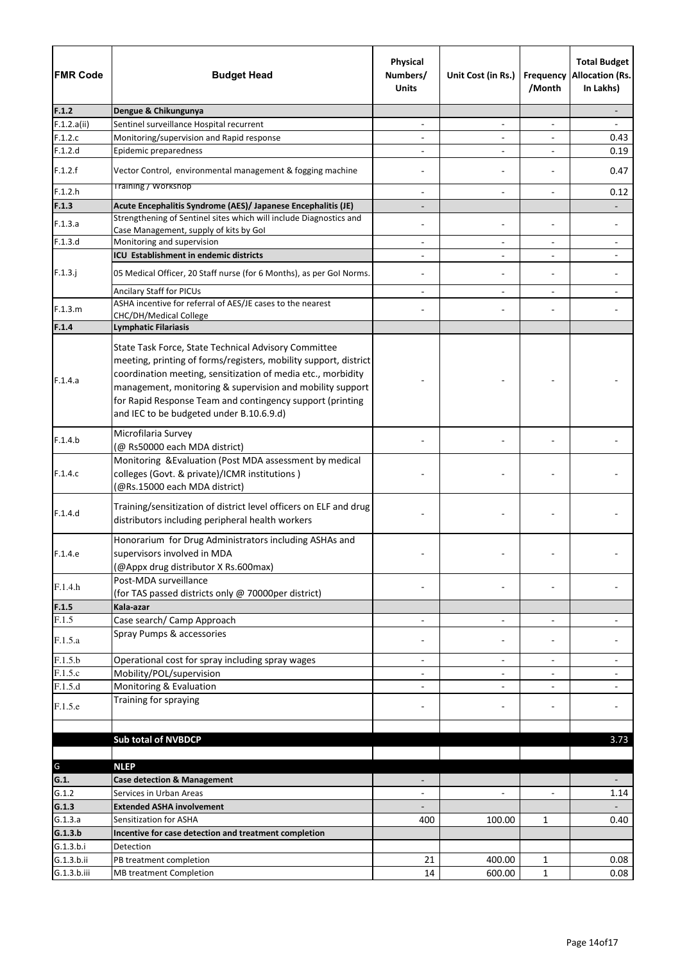| <b>FMR Code</b> | <b>Budget Head</b>                                                                                                                                                                                                                                                                                                                                             | Physical<br>Numbers/<br><b>Units</b> | Unit Cost (in Rs.)           | Frequency<br>/Month          | <b>Total Budget</b><br><b>Allocation (Rs.</b><br>In Lakhs) |
|-----------------|----------------------------------------------------------------------------------------------------------------------------------------------------------------------------------------------------------------------------------------------------------------------------------------------------------------------------------------------------------------|--------------------------------------|------------------------------|------------------------------|------------------------------------------------------------|
| F.1.2           | Dengue & Chikungunya                                                                                                                                                                                                                                                                                                                                           |                                      |                              |                              |                                                            |
| F.1.2.a(ii)     | Sentinel surveillance Hospital recurrent                                                                                                                                                                                                                                                                                                                       | $\overline{\phantom{a}}$             | $\qquad \qquad \blacksquare$ | $\qquad \qquad \blacksquare$ |                                                            |
| F.1.2.c         | Monitoring/supervision and Rapid response                                                                                                                                                                                                                                                                                                                      |                                      |                              |                              | 0.43                                                       |
| F.1.2.d         | Epidemic preparedness                                                                                                                                                                                                                                                                                                                                          |                                      | $\overline{\phantom{a}}$     |                              | 0.19                                                       |
| F.1.2.f         | Vector Control, environmental management & fogging machine                                                                                                                                                                                                                                                                                                     |                                      |                              |                              | 0.47                                                       |
| F.1.2.h         | <b>Training / Workshop</b>                                                                                                                                                                                                                                                                                                                                     | $\overline{\phantom{a}}$             | $\overline{\phantom{a}}$     | $\overline{\phantom{a}}$     | 0.12                                                       |
| F.1.3           | Acute Encephalitis Syndrome (AES)/ Japanese Encephalitis (JE)                                                                                                                                                                                                                                                                                                  |                                      |                              |                              |                                                            |
| F.1.3.a         | Strengthening of Sentinel sites which will include Diagnostics and<br>Case Management, supply of kits by Gol                                                                                                                                                                                                                                                   |                                      |                              |                              |                                                            |
| F.1.3.d         | Monitoring and supervision                                                                                                                                                                                                                                                                                                                                     | $\overline{\phantom{a}}$             | $\qquad \qquad \blacksquare$ | $\overline{\phantom{a}}$     |                                                            |
|                 | ICU Establishment in endemic districts                                                                                                                                                                                                                                                                                                                         | $\overline{a}$                       | $\blacksquare$               | $\overline{a}$               |                                                            |
| $F.1.3.$ j      | 05 Medical Officer, 20 Staff nurse (for 6 Months), as per Gol Norms.                                                                                                                                                                                                                                                                                           |                                      | $\overline{\phantom{a}}$     | $\overline{a}$               |                                                            |
|                 | <b>Ancilary Staff for PICUs</b>                                                                                                                                                                                                                                                                                                                                |                                      |                              |                              |                                                            |
| F.1.3.m         | ASHA incentive for referral of AES/JE cases to the nearest                                                                                                                                                                                                                                                                                                     |                                      |                              |                              |                                                            |
|                 | CHC/DH/Medical College                                                                                                                                                                                                                                                                                                                                         |                                      |                              |                              |                                                            |
| F.1.4           | <b>Lymphatic Filariasis</b>                                                                                                                                                                                                                                                                                                                                    |                                      |                              |                              |                                                            |
| F.1.4.a         | State Task Force, State Technical Advisory Committee<br>meeting, printing of forms/registers, mobility support, district<br>coordination meeting, sensitization of media etc., morbidity<br>management, monitoring & supervision and mobility support<br>for Rapid Response Team and contingency support (printing<br>and IEC to be budgeted under B.10.6.9.d) |                                      |                              |                              |                                                            |
| F.1.4.b         | Microfilaria Survey<br>(@ Rs50000 each MDA district)                                                                                                                                                                                                                                                                                                           |                                      |                              |                              |                                                            |
| F.1.4.c         | Monitoring & Evaluation (Post MDA assessment by medical<br>colleges (Govt. & private)/ICMR institutions)<br>(@Rs.15000 each MDA district)                                                                                                                                                                                                                      |                                      |                              |                              |                                                            |
| F.1.4.d         | Training/sensitization of district level officers on ELF and drug<br>distributors including peripheral health workers                                                                                                                                                                                                                                          |                                      |                              |                              |                                                            |
| F.1.4.e         | Honorarium for Drug Administrators including ASHAs and<br>supervisors involved in MDA<br>(@Appx drug distributor X Rs.600max)                                                                                                                                                                                                                                  |                                      |                              |                              |                                                            |
| F.1.4.h         | Post-MDA surveillance<br>(for TAS passed districts only @ 70000per district)                                                                                                                                                                                                                                                                                   |                                      |                              |                              |                                                            |
| F.1.5           | Kala-azar                                                                                                                                                                                                                                                                                                                                                      |                                      |                              |                              |                                                            |
| F.1.5           | Case search/ Camp Approach                                                                                                                                                                                                                                                                                                                                     | $\overline{\phantom{a}}$             | $\overline{\phantom{a}}$     | $\overline{a}$               |                                                            |
| F.1.5.a         | Spray Pumps & accessories                                                                                                                                                                                                                                                                                                                                      |                                      |                              |                              |                                                            |
| F.1.5.b         | Operational cost for spray including spray wages                                                                                                                                                                                                                                                                                                               | $\overline{\phantom{a}}$             | $\overline{\phantom{a}}$     | $\overline{\phantom{a}}$     |                                                            |
| F.1.5.c         | Mobility/POL/supervision                                                                                                                                                                                                                                                                                                                                       |                                      |                              |                              |                                                            |
| F.1.5.d         | Monitoring & Evaluation<br>Training for spraying                                                                                                                                                                                                                                                                                                               |                                      | $\overline{\phantom{a}}$     |                              |                                                            |
| F.1.5.e         |                                                                                                                                                                                                                                                                                                                                                                |                                      |                              |                              |                                                            |
|                 | <b>Sub total of NVBDCP</b>                                                                                                                                                                                                                                                                                                                                     |                                      |                              |                              | 3.73                                                       |
|                 |                                                                                                                                                                                                                                                                                                                                                                |                                      |                              |                              |                                                            |
| G               | <b>NLEP</b>                                                                                                                                                                                                                                                                                                                                                    |                                      |                              |                              |                                                            |
| G.1.            | <b>Case detection &amp; Management</b>                                                                                                                                                                                                                                                                                                                         |                                      |                              |                              |                                                            |
| G.1.2           | Services in Urban Areas                                                                                                                                                                                                                                                                                                                                        |                                      |                              |                              | 1.14                                                       |
| G.1.3           | <b>Extended ASHA involvement</b>                                                                                                                                                                                                                                                                                                                               |                                      |                              |                              |                                                            |
| G.1.3.a         | Sensitization for ASHA                                                                                                                                                                                                                                                                                                                                         | 400                                  | 100.00                       | $\mathbf{1}$                 | 0.40                                                       |
| G.1.3.b         | Incentive for case detection and treatment completion                                                                                                                                                                                                                                                                                                          |                                      |                              |                              |                                                            |
| G.1.3.b.i       | Detection                                                                                                                                                                                                                                                                                                                                                      |                                      |                              |                              |                                                            |
| G.1.3.b.ii      | PB treatment completion                                                                                                                                                                                                                                                                                                                                        | 21                                   | 400.00                       | $\mathbf{1}$                 | 0.08                                                       |
| G.1.3.b.iii     | <b>MB treatment Completion</b>                                                                                                                                                                                                                                                                                                                                 | 14                                   | 600.00                       | $\mathbf{1}$                 | 0.08                                                       |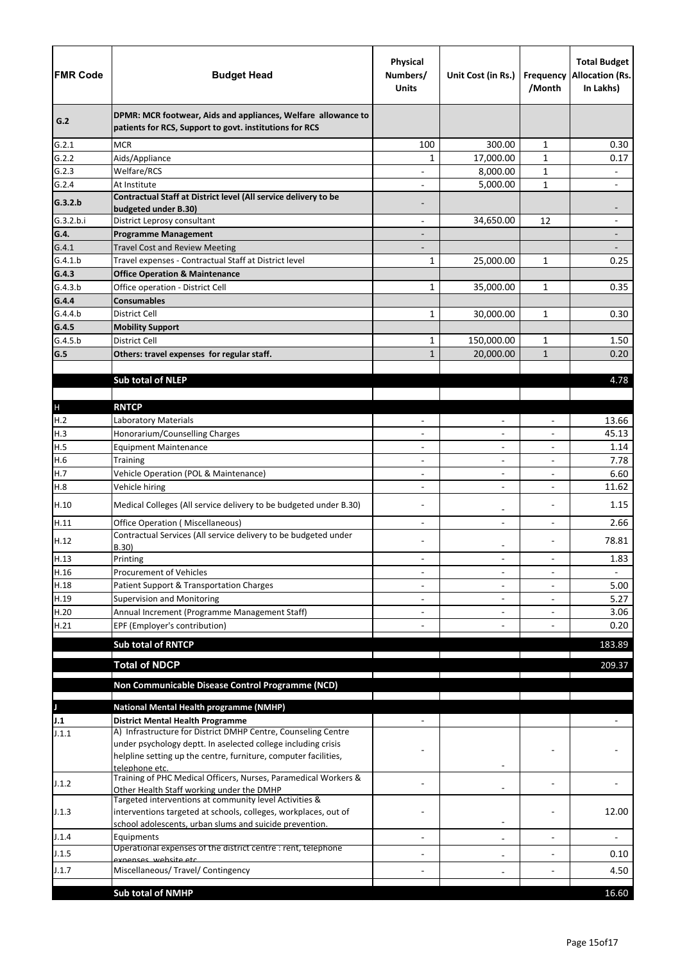| <b>FMR Code</b>      | <b>Budget Head</b>                                                                                                                                                     | <b>Physical</b><br>Numbers/<br><b>Units</b> | Unit Cost (in Rs.)           | /Month         | <b>Total Budget</b><br><b>Frequency Allocation (Rs.</b><br>In Lakhs) |
|----------------------|------------------------------------------------------------------------------------------------------------------------------------------------------------------------|---------------------------------------------|------------------------------|----------------|----------------------------------------------------------------------|
| G.2                  | DPMR: MCR footwear, Aids and appliances, Welfare allowance to<br>patients for RCS, Support to govt. institutions for RCS                                               |                                             |                              |                |                                                                      |
| G.2.1                | <b>MCR</b>                                                                                                                                                             | 100                                         | 300.00                       | $\mathbf{1}$   | 0.30                                                                 |
| G.2.2                | Aids/Appliance                                                                                                                                                         | 1                                           | 17,000.00                    | $\mathbf{1}$   | 0.17                                                                 |
| G.2.3                | Welfare/RCS                                                                                                                                                            |                                             | 8,000.00                     | $\mathbf{1}$   | $\qquad \qquad -$                                                    |
| G.2.4                | At Institute                                                                                                                                                           |                                             | 5,000.00                     | $\mathbf{1}$   |                                                                      |
| G.3.2.b<br>G.3.2.b.i | Contractual Staff at District level (All service delivery to be<br>budgeted under B.30)<br>District Leprosy consultant                                                 |                                             | 34,650.00                    | 12             | $\qquad \qquad \blacksquare$                                         |
| G.4.                 | <b>Programme Management</b>                                                                                                                                            | $\overline{\phantom{a}}$                    |                              |                |                                                                      |
| G.4.1                | <b>Travel Cost and Review Meeting</b>                                                                                                                                  |                                             |                              |                |                                                                      |
| G.4.1.b              | Travel expenses - Contractual Staff at District level                                                                                                                  | $\mathbf{1}$                                | 25,000.00                    | 1              | 0.25                                                                 |
| G.4.3                | <b>Office Operation &amp; Maintenance</b>                                                                                                                              |                                             |                              |                |                                                                      |
| G.4.3.b              | Office operation - District Cell                                                                                                                                       | $\mathbf{1}$                                | 35,000.00                    | $\mathbf{1}$   | 0.35                                                                 |
| G.4.4                | <b>Consumables</b>                                                                                                                                                     |                                             |                              |                |                                                                      |
| G.4.4.b              | <b>District Cell</b>                                                                                                                                                   | $\mathbf{1}$                                | 30,000.00                    | $\mathbf{1}$   | 0.30                                                                 |
| G.4.5                | <b>Mobility Support</b>                                                                                                                                                |                                             |                              |                |                                                                      |
| G.4.5.b              | District Cell                                                                                                                                                          | $\mathbf{1}$                                | 150,000.00                   | $\mathbf{1}$   | 1.50                                                                 |
| G.5                  | Others: travel expenses for regular staff.                                                                                                                             | $\mathbf{1}$                                | 20,000.00                    | $\mathbf{1}$   | 0.20                                                                 |
|                      |                                                                                                                                                                        |                                             |                              |                |                                                                      |
|                      | <b>Sub total of NLEP</b>                                                                                                                                               |                                             |                              |                | 4.78                                                                 |
|                      |                                                                                                                                                                        |                                             |                              |                |                                                                      |
| $\mathsf{H}%$        | <b>RNTCP</b>                                                                                                                                                           |                                             |                              |                |                                                                      |
| H.2                  | Laboratory Materials                                                                                                                                                   |                                             | $\overline{\phantom{0}}$     |                | 13.66                                                                |
| H.3                  | Honorarium/Counselling Charges                                                                                                                                         |                                             | $\overline{\phantom{0}}$     | $\blacksquare$ | 45.13                                                                |
| H.5                  | <b>Equipment Maintenance</b>                                                                                                                                           |                                             | $\qquad \qquad -$            |                | 1.14                                                                 |
| H.6                  | <b>Training</b>                                                                                                                                                        | $\overline{\phantom{a}}$                    | $\overline{\phantom{0}}$     |                | 7.78                                                                 |
| H.7                  | Vehicle Operation (POL & Maintenance)                                                                                                                                  | -                                           | $\overline{a}$               |                | 6.60                                                                 |
| H.8                  | Vehicle hiring                                                                                                                                                         |                                             |                              |                | 11.62                                                                |
| H.10                 | Medical Colleges (All service delivery to be budgeted under B.30)                                                                                                      |                                             | $\overline{a}$               |                | 1.15                                                                 |
| H.11                 | <b>Office Operation (Miscellaneous)</b>                                                                                                                                |                                             | $\overline{\phantom{0}}$     |                | 2.66                                                                 |
| H.12                 | Contractual Services (All service delivery to be budgeted under<br>B.30)                                                                                               |                                             | -                            |                | 78.81                                                                |
| H.13                 | Printing                                                                                                                                                               | $\overline{\phantom{0}}$                    | $\overline{\phantom{0}}$     | $\overline{a}$ | 1.83                                                                 |
| H.16                 | <b>Procurement of Vehicles</b>                                                                                                                                         |                                             | $\overline{\phantom{0}}$     |                |                                                                      |
| H.18                 | Patient Support & Transportation Charges                                                                                                                               |                                             | $\qquad \qquad -$            |                | 5.00                                                                 |
| H.19                 | <b>Supervision and Monitoring</b>                                                                                                                                      |                                             | $\overline{\phantom{0}}$     |                | 5.27                                                                 |
| H.20                 | Annual Increment (Programme Management Staff)                                                                                                                          |                                             |                              |                | 3.06                                                                 |
| H.21                 | EPF (Employer's contribution)                                                                                                                                          |                                             |                              |                | 0.20                                                                 |
|                      | <b>Sub total of RNTCP</b>                                                                                                                                              |                                             |                              |                | 183.89                                                               |
|                      |                                                                                                                                                                        |                                             |                              |                |                                                                      |
|                      | <b>Total of NDCP</b>                                                                                                                                                   |                                             |                              |                | 209.37                                                               |
|                      | Non Communicable Disease Control Programme (NCD)                                                                                                                       |                                             |                              |                |                                                                      |
|                      |                                                                                                                                                                        |                                             |                              |                |                                                                      |
|                      | <b>National Mental Health programme (NMHP)</b>                                                                                                                         |                                             |                              |                |                                                                      |
| J.1                  | <b>District Mental Health Programme</b>                                                                                                                                |                                             |                              |                |                                                                      |
| J.1.1                | A) Infrastructure for District DMHP Centre, Counseling Centre<br>under psychology deptt. In aselected college including crisis                                         |                                             |                              |                |                                                                      |
|                      | helpline setting up the centre, furniture, computer facilities,                                                                                                        |                                             |                              |                |                                                                      |
| J.1.2                | telephone etc.<br>Training of PHC Medical Officers, Nurses, Paramedical Workers &                                                                                      |                                             |                              |                |                                                                      |
| J.1.3                | Other Health Staff working under the DMHP<br>Targeted interventions at community level Activities &<br>interventions targeted at schools, colleges, workplaces, out of |                                             |                              |                | 12.00                                                                |
|                      | school adolescents, urban slums and suicide prevention.                                                                                                                |                                             | $\qquad \qquad \blacksquare$ |                |                                                                      |
| J.1.4                | Equipments<br>Operational expenses of the district centre : rent, telephone                                                                                            |                                             | $\qquad \qquad -$            |                |                                                                      |
| J.1.5                | exnenses, website etc                                                                                                                                                  |                                             | $\qquad \qquad -$            |                | 0.10                                                                 |
| J.1.7                | Miscellaneous/ Travel/ Contingency                                                                                                                                     |                                             |                              |                | 4.50                                                                 |
|                      |                                                                                                                                                                        |                                             |                              |                |                                                                      |
|                      | <b>Sub total of NMHP</b>                                                                                                                                               |                                             |                              |                | 16.60                                                                |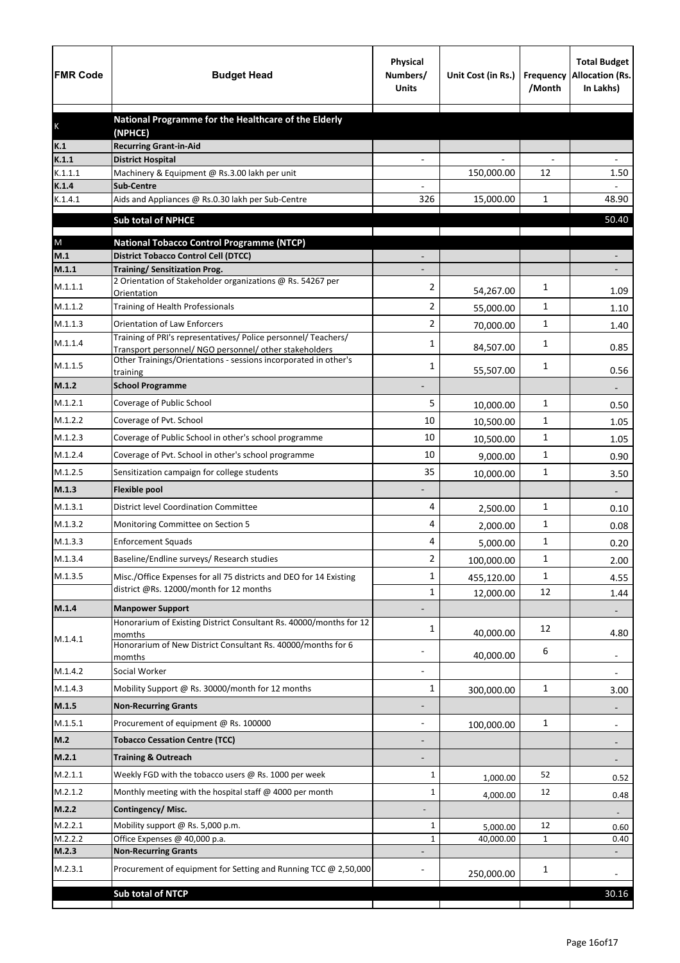| <b>FMR Code</b>  | <b>Budget Head</b>                                                                              | <b>Physical</b><br>Numbers/<br><b>Units</b> | Unit Cost (in Rs.) | Frequency<br>/Month | <b>Total Budget</b><br><b>Allocation (Rs.</b><br>In Lakhs) |
|------------------|-------------------------------------------------------------------------------------------------|---------------------------------------------|--------------------|---------------------|------------------------------------------------------------|
|                  | National Programme for the Healthcare of the Elderly                                            |                                             |                    |                     |                                                            |
| K                | (NPHCE)                                                                                         |                                             |                    |                     |                                                            |
| K.1              | <b>Recurring Grant-in-Aid</b>                                                                   |                                             |                    |                     |                                                            |
| K.1.1<br>K.1.1.1 | <b>District Hospital</b><br>Machinery & Equipment @ Rs.3.00 lakh per unit                       |                                             | 150,000.00         | 12                  | 1.50                                                       |
| K.1.4            | <b>Sub-Centre</b>                                                                               |                                             |                    |                     |                                                            |
| K.1.4.1          | Aids and Appliances @ Rs.0.30 lakh per Sub-Centre                                               | 326                                         | 15,000.00          | 1                   | 48.90                                                      |
|                  | <b>Sub total of NPHCE</b>                                                                       |                                             |                    |                     | 50.40                                                      |
|                  |                                                                                                 |                                             |                    |                     |                                                            |
| ${\sf M}$<br>M.1 | <b>National Tobacco Control Programme (NTCP)</b><br><b>District Tobacco Control Cell (DTCC)</b> |                                             |                    |                     |                                                            |
| M.1.1            | <b>Training/ Sensitization Prog.</b>                                                            |                                             |                    |                     |                                                            |
| M.1.1.1          | 2 Orientation of Stakeholder organizations @ Rs. 54267 per                                      | 2                                           | 54,267.00          | 1                   | 1.09                                                       |
| M.1.1.2          | Orientation<br>Training of Health Professionals                                                 | $\overline{2}$                              | 55,000.00          | 1                   | 1.10                                                       |
| M.1.1.3          | <b>Orientation of Law Enforcers</b>                                                             | 2                                           |                    | 1                   |                                                            |
|                  | Training of PRI's representatives/ Police personnel/ Teachers/                                  |                                             | 70,000.00          |                     | 1.40                                                       |
| M.1.1.4          | Transport personnel/ NGO personnel/ other stakeholders                                          | 1                                           | 84,507.00          | 1                   | 0.85                                                       |
| M.1.1.5          | Other Trainings/Orientations - sessions incorporated in other's<br>training                     | 1                                           | 55,507.00          | 1                   | 0.56                                                       |
| M.1.2            | <b>School Programme</b>                                                                         |                                             |                    |                     |                                                            |
| M.1.2.1          | Coverage of Public School                                                                       | 5                                           | 10,000.00          | 1                   | 0.50                                                       |
| M.1.2.2          | Coverage of Pvt. School                                                                         | 10                                          | 10,500.00          | 1                   | 1.05                                                       |
| M.1.2.3          | Coverage of Public School in other's school programme                                           | 10                                          | 10,500.00          | 1                   | 1.05                                                       |
| M.1.2.4          | Coverage of Pvt. School in other's school programme                                             | 10                                          | 9,000.00           | 1                   | 0.90                                                       |
| M.1.2.5          | Sensitization campaign for college students                                                     | 35                                          | 10,000.00          | $\mathbf{1}$        | 3.50                                                       |
| M.1.3            | <b>Flexible pool</b>                                                                            |                                             |                    |                     |                                                            |
| M.1.3.1          | <b>District level Coordination Committee</b>                                                    | 4                                           | 2,500.00           | 1                   | 0.10                                                       |
| M.1.3.2          | Monitoring Committee on Section 5                                                               | 4                                           | 2,000.00           | 1                   | 0.08                                                       |
| M.1.3.3          | <b>Enforcement Squads</b>                                                                       | 4                                           | 5,000.00           | 1                   | 0.20                                                       |
| M.1.3.4          | Baseline/Endline surveys/ Research studies                                                      | 2                                           | 100,000.00         | 1                   | 2.00                                                       |
| M.1.3.5          | Misc./Office Expenses for all 75 districts and DEO for 14 Existing                              | 1                                           | 455,120.00         | 1                   | 4.55                                                       |
|                  | district @Rs. 12000/month for 12 months                                                         | 1                                           | 12,000.00          | 12                  | 1.44                                                       |
| M.1.4            | <b>Manpower Support</b>                                                                         |                                             |                    |                     |                                                            |
|                  | Honorarium of Existing District Consultant Rs. 40000/months for 12                              | 1                                           |                    | 12                  |                                                            |
| M.1.4.1          | momths<br>Honorarium of New District Consultant Rs. 40000/months for 6                          |                                             | 40,000.00          |                     | 4.80                                                       |
|                  | momths                                                                                          |                                             | 40,000.00          | 6                   | $\overline{\phantom{a}}$                                   |
| M.1.4.2          | Social Worker                                                                                   |                                             |                    |                     | $\overline{\phantom{a}}$                                   |
| M.1.4.3          | Mobility Support @ Rs. 30000/month for 12 months                                                | $\mathbf{1}$                                | 300,000.00         | $\mathbf 1$         | 3.00                                                       |
| M.1.5            | <b>Non-Recurring Grants</b>                                                                     |                                             |                    |                     |                                                            |
| M.1.5.1          | Procurement of equipment @ Rs. 100000                                                           |                                             | 100,000.00         | $\mathbf 1$         |                                                            |
| M.2              | <b>Tobacco Cessation Centre (TCC)</b>                                                           |                                             |                    |                     |                                                            |
| M.2.1            | <b>Training &amp; Outreach</b>                                                                  |                                             |                    |                     |                                                            |
| M.2.1.1          | Weekly FGD with the tobacco users @ Rs. 1000 per week                                           | 1                                           | 1,000.00           | 52                  | 0.52                                                       |
| M.2.1.2          | Monthly meeting with the hospital staff @ 4000 per month                                        | 1                                           | 4,000.00           | 12                  | 0.48                                                       |
| M.2.2            | Contingency/Misc.                                                                               |                                             |                    |                     |                                                            |
| M.2.2.1          | Mobility support @ Rs. 5,000 p.m.                                                               | 1                                           | 5,000.00           | 12                  | 0.60                                                       |
| M.2.2.2          | Office Expenses @ 40,000 p.a.                                                                   | 1                                           | 40,000.00          | $\mathbf{1}$        | 0.40                                                       |
| M.2.3            | <b>Non-Recurring Grants</b>                                                                     |                                             |                    |                     |                                                            |
| M.2.3.1          | Procurement of equipment for Setting and Running TCC @ 2,50,000                                 |                                             | 250,000.00         | 1                   |                                                            |
|                  | Sub total of NTCP                                                                               |                                             |                    |                     | 30.16                                                      |
|                  |                                                                                                 |                                             |                    |                     |                                                            |